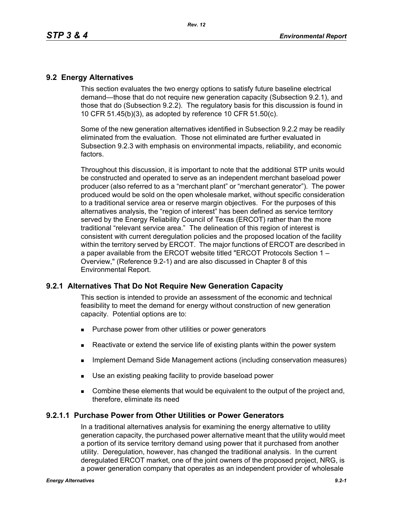## **9.2 Energy Alternatives**

This section evaluates the two energy options to satisfy future baseline electrical demand—those that do not require new generation capacity (Subsection 9.2.1), and those that do (Subsection 9.2.2). The regulatory basis for this discussion is found in 10 CFR 51.45(b)(3), as adopted by reference 10 CFR 51.50(c).

Some of the new generation alternatives identified in Subsection 9.2.2 may be readily eliminated from the evaluation. Those not eliminated are further evaluated in Subsection 9.2.3 with emphasis on environmental impacts, reliability, and economic factors.

Throughout this discussion, it is important to note that the additional STP units would be constructed and operated to serve as an independent merchant baseload power producer (also referred to as a "merchant plant" or "merchant generator"). The power produced would be sold on the open wholesale market, without specific consideration to a traditional service area or reserve margin objectives. For the purposes of this alternatives analysis, the "region of interest" has been defined as service territory served by the Energy Reliability Council of Texas (ERCOT) rather than the more traditional "relevant service area." The delineation of this region of interest is consistent with current deregulation policies and the proposed location of the facility within the territory served by ERCOT. The major functions of ERCOT are described in a paper available from the ERCOT website titled "ERCOT Protocols Section 1 – Overview," (Reference 9.2-1) and are also discussed in Chapter 8 of this Environmental Report.

## **9.2.1 Alternatives That Do Not Require New Generation Capacity**

This section is intended to provide an assessment of the economic and technical feasibility to meet the demand for energy without construction of new generation capacity. Potential options are to:

- **Purchase power from other utilities or power generators**
- **EXECT** Reactivate or extend the service life of existing plants within the power system
- **IMPLEMENTER IMMORGHT MANAGEM INCOCONSTREED IN A THE IMMORGHT IMMORGHT INCOCONSTREED IMMORGHT INCOCONSTREED IMMORGHT INCOCONSTREED IMMORGHT INCOCONSTREED IMMORGHT INCOCONSTREED IMMORGHT INCOCONSTREED IMMORGHT INCOCONSTREED**
- Use an existing peaking facility to provide baseload power
- **Combine these elements that would be equivalent to the output of the project and,** therefore, eliminate its need

### **9.2.1.1 Purchase Power from Other Utilities or Power Generators**

In a traditional alternatives analysis for examining the energy alternative to utility generation capacity, the purchased power alternative meant that the utility would meet a portion of its service territory demand using power that it purchased from another utility. Deregulation, however, has changed the traditional analysis. In the current deregulated ERCOT market, one of the joint owners of the proposed project, NRG, is a power generation company that operates as an independent provider of wholesale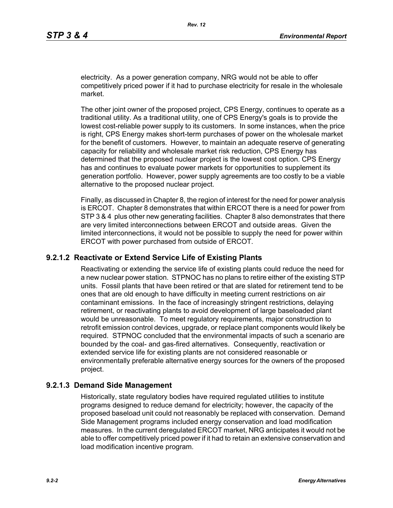electricity. As a power generation company, NRG would not be able to offer competitively priced power if it had to purchase electricity for resale in the wholesale market.

The other joint owner of the proposed project, CPS Energy, continues to operate as a traditional utility. As a traditional utility, one of CPS Energy's goals is to provide the lowest cost-reliable power supply to its customers. In some instances, when the price is right, CPS Energy makes short-term purchases of power on the wholesale market for the benefit of customers. However, to maintain an adequate reserve of generating capacity for reliability and wholesale market risk reduction, CPS Energy has determined that the proposed nuclear project is the lowest cost option. CPS Energy has and continues to evaluate power markets for opportunities to supplement its generation portfolio. However, power supply agreements are too costly to be a viable alternative to the proposed nuclear project.

Finally, as discussed in Chapter 8, the region of interest for the need for power analysis is ERCOT. Chapter 8 demonstrates that within ERCOT there is a need for power from STP 3 & 4 plus other new generating facilities. Chapter 8 also demonstrates that there are very limited interconnections between ERCOT and outside areas. Given the limited interconnections, it would not be possible to supply the need for power within ERCOT with power purchased from outside of ERCOT.

### **9.2.1.2 Reactivate or Extend Service Life of Existing Plants**

Reactivating or extending the service life of existing plants could reduce the need for a new nuclear power station. STPNOC has no plans to retire either of the existing STP units. Fossil plants that have been retired or that are slated for retirement tend to be ones that are old enough to have difficulty in meeting current restrictions on air contaminant emissions. In the face of increasingly stringent restrictions, delaying retirement, or reactivating plants to avoid development of large baseloaded plant would be unreasonable. To meet regulatory requirements, major construction to retrofit emission control devices, upgrade, or replace plant components would likely be required. STPNOC concluded that the environmental impacts of such a scenario are bounded by the coal- and gas-fired alternatives. Consequently, reactivation or extended service life for existing plants are not considered reasonable or environmentally preferable alternative energy sources for the owners of the proposed project.

### **9.2.1.3 Demand Side Management**

Historically, state regulatory bodies have required regulated utilities to institute programs designed to reduce demand for electricity; however, the capacity of the proposed baseload unit could not reasonably be replaced with conservation. Demand Side Management programs included energy conservation and load modification measures. In the current deregulated ERCOT market, NRG anticipates it would not be able to offer competitively priced power if it had to retain an extensive conservation and load modification incentive program.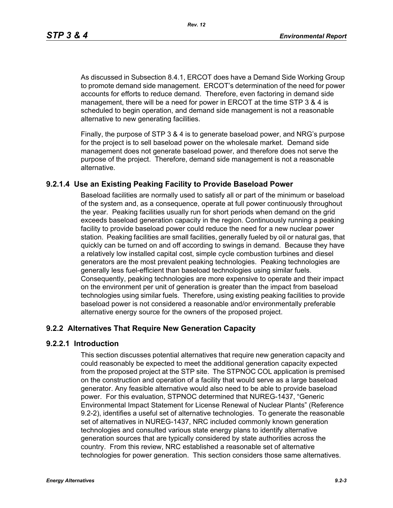*Rev. 12*

As discussed in Subsection 8.4.1, ERCOT does have a Demand Side Working Group to promote demand side management. ERCOT's determination of the need for power accounts for efforts to reduce demand. Therefore, even factoring in demand side management, there will be a need for power in ERCOT at the time STP 3 & 4 is scheduled to begin operation, and demand side management is not a reasonable alternative to new generating facilities.

[Finally, the purpose of STP 3 & 4 is to generate baseload power, and NRG's purpose](http://www.eere.energy.gov/windandhydro/windpoweringamerica/pdfs/power_supply_guidebook.pdf)  for the project is to sell baseload power on the wholesale market. Demand side management does not generate baseload power, and therefore does not serve the purpose of the project. Therefore, demand side management is not a reasonable alternative.

## **9.2.1.4 Use an Existing Peaking Facility to Provide Baseload Power**

Baseload facilities are normally used to satisfy all or part of the minimum or baseload of the system and, as a consequence, operate at full power continuously throughout the year. Peaking facilities usually run for short periods when demand on the grid exceeds baseload generation capacity in the region. Continuously running a peaking facility to provide baseload power could reduce the need for a new nuclear power station. Peaking facilities are small facilities, generally fueled by oil or natural gas, that quickly can be turned on and off according to swings in demand. Because they have a relatively low installed capital cost, simple cycle combustion turbines and diesel generators are the most prevalent peaking technologies. Peaking technologies are generally less fuel-efficient than baseload technologies using similar fuels. Consequently, peaking technologies are more expensive to operate and their impact on the environment per unit of generation is greater than the impact from baseload technologies using similar fuels. Therefore, using existing peaking facilities to provide baseload power is not considered a reasonable and/or environmentally preferable alternative energy source for the owners of the proposed project.

## **9.2.2 Alternatives That Require New Generation Capacity**

### **9.2.2.1 Introduction**

This section discusses potential alternatives that require new generation capacity and could reasonably be expected to meet the additional generation capacity expected from the proposed project at the STP site. The STPNOC COL application is premised on the construction and operation of a facility that would serve as a large baseload generator. Any feasible alternative would also need to be able to provide baseload power. For this evaluation, STPNOC determined that NUREG-1437, "Generic Environmental Impact Statement for License Renewal of Nuclear Plants" (Reference 9.2-2), identifies a useful set of alternative technologies. To generate the reasonable set of alternatives in NUREG-1437, NRC included commonly known generation technologies and consulted various state energy plans to identify alternative generation sources that are typically considered by state authorities across the country. From this review, NRC established a reasonable set of alternative technologies for power generation. This section considers those same alternatives.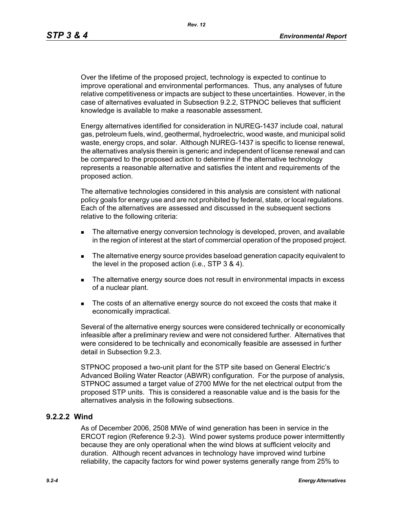Over the lifetime of the proposed project, technology is expected to continue to improve operational and environmental performances. Thus, any analyses of future relative competitiveness or impacts are subject to these uncertainties. However, in the case of alternatives evaluated in Subsection 9.2.2, STPNOC believes that sufficient knowledge is available to make a reasonable assessment.

Energy alternatives identified for consideration in NUREG-1437 include coal, natural gas, petroleum fuels, wind, geothermal, hydroelectric, wood waste, and municipal solid waste, energy crops, and solar. Although NUREG-1437 is specific to license renewal, the alternatives analysis therein is generic and independent of license renewal and can be compared to the proposed action to determine if the alternative technology represents a reasonable alternative and satisfies the intent and requirements of the proposed action.

The alternative technologies considered in this analysis are consistent with national policy goals for energy use and are not prohibited by federal, state, or local regulations. Each of the alternatives are assessed and discussed in the subsequent sections relative to the following criteria:

- **The alternative energy conversion technology is developed, proven, and available** in the region of interest at the start of commercial operation of the proposed project.
- The alternative energy source provides baseload generation capacity equivalent to the level in the proposed action (i.e., STP 3 & 4).
- The alternative energy source does not result in environmental impacts in excess of a nuclear plant.
- The costs of an alternative energy source do not exceed the costs that make it economically impractical.

Several of the alternative energy sources were considered technically or economically infeasible after a preliminary review and were not considered further. Alternatives that were considered to be technically and economically feasible are assessed in further detail in Subsection 9.2.3.

STPNOC proposed a two-unit plant for the STP site based on General Electric's Advanced Boiling Water Reactor (ABWR) configuration. For the purpose of analysis, STPNOC assumed a target value of 2700 MWe for the net electrical output from the proposed STP units. This is considered a reasonable value and is the basis for the alternatives analysis in the following subsections.

### **9.2.2.2 Wind**

As of December 2006, 2508 MWe of wind generation has been in service in the ERCOT region (Reference 9.2-3). Wind power systems produce power intermittently because they are only operational when the wind blows at sufficient velocity and duration. Although recent advances in technology have improved wind turbine reliability, the capacity factors for wind power systems generally range from 25% to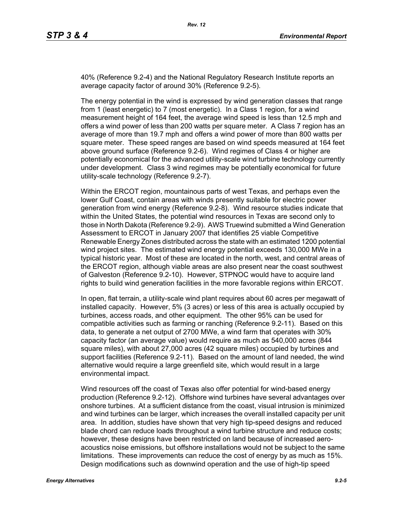40% (Reference 9.2-4) and the National Regulatory Research Institute reports an average capacity factor of around 30% (Reference 9.2-5).

The energy potential in the wind is expressed by wind generation classes that range from 1 (least energetic) to 7 (most energetic). In a Class 1 region, for a wind measurement height of 164 feet, the average wind speed is less than 12.5 mph and offers a wind power of less than 200 watts per square meter. A Class 7 region has an average of more than 19.7 mph and offers a wind power of more than 800 watts per square meter. These speed ranges are based on wind speeds measured at 164 feet above ground surface (Reference 9.2-6). Wind regimes of Class 4 or higher are potentially economical for the advanced utility-scale wind turbine technology currently under development. Class 3 wind regimes may be potentially economical for future utility-scale technology (Reference 9.2-7).

Within the ERCOT region, mountainous parts of west Texas, and perhaps even the lower Gulf Coast, contain areas with winds presently suitable for electric power generation from wind energy (Reference 9.2-8). Wind resource studies indicate that within the United States, the potential wind resources in Texas are second only to those in North Dakota (Reference 9.2-9). AWS Truewind submitted a Wind Generation Assessment to ERCOT in January 2007 that identifies 25 viable Competitive Renewable Energy Zones distributed across the state with an estimated 1200 potential wind project sites. The estimated wind energy potential exceeds 130,000 MWe in a typical historic year. Most of these are located in the north, west, and central areas of the ERCOT region, although viable areas are also present near the coast southwest of Galveston (Reference 9.2-10). However, STPNOC would have to acquire land rights to build wind generation facilities in the more favorable regions within ERCOT.

In open, flat terrain, a utility-scale wind plant requires about 60 acres per megawatt of installed capacity. However, 5% (3 acres) or less of this area is actually occupied by turbines, access roads, and other equipment. The other 95% can be used for compatible activities such as farming or ranching (Reference 9.2-11). Based on this data, to generate a net output of 2700 MWe, a wind farm that operates with 30% capacity factor (an average value) would require as much as 540,000 acres (844 square miles), with about 27,000 acres (42 square miles) occupied by turbines and support facilities (Reference 9.2-11). Based on the amount of land needed, the wind alternative would require a large greenfield site, which would result in a large environmental impact.

Wind resources off the coast of Texas also offer potential for wind-based energy production (Reference 9.2-12). Offshore wind turbines have several advantages over onshore turbines. At a sufficient distance from the coast, visual intrusion is minimized and wind turbines can be larger, which increases the overall installed capacity per unit area. In addition, studies have shown that very high tip-speed designs and reduced blade chord can reduce loads throughout a wind turbine structure and reduce costs; however, these designs have been restricted on land because of increased aeroacoustics noise emissions, but offshore installations would not be subject to the same limitations. These improvements can reduce the cost of energy by as much as 15%. Design modifications such as downwind operation and the use of high-tip speed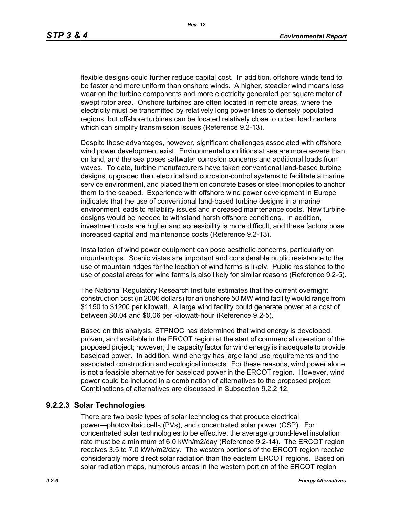flexible designs could further reduce capital cost. In addition, offshore winds tend to be faster and more uniform than onshore winds. A higher, steadier wind means less wear on the turbine components and more electricity generated per square meter of swept rotor area. Onshore turbines are often located in remote areas, where the electricity must be transmitted by relatively long power lines to densely populated regions, but offshore turbines can be located relatively close to urban load centers which can simplify transmission issues (Reference 9.2-13).

[Despite these advantages, however, significant challenges associated with offshore](http://www.nrri.ohio-state.edu/)  [wind power development exist. Environmental conditions at sea are more severe than](http://www.nrri.ohio-state.edu/)  on land, and the sea poses saltwater corrosion concerns and additional loads from waves. To date, turbine manufacturers have taken conventional land-based turbine designs, upgraded their electrical and corrosion-control systems to facilitate a marine service environment, and placed them on concrete bases or steel monopiles to anchor them to the seabed. Experience with offshore wind power development in Europe [indicates that the use of conventional land-based turbine designs in a marine](http://www.nrri.ohio-state.edu/)  [environment leads to reliability issues and increased maintenance costs. New turbine](http://www.nrri.ohio-state.edu/)  designs would be needed to withstand harsh offshore conditions. In addition, investment costs are higher and accessibility is more difficult, and these factors pose increased capital and maintenance costs (Reference 9.2-13).

Installation of wind power equipment can pose aesthetic concerns, particularly on mountaintops. Scenic vistas are important and considerable public resistance to the use of mountain ridges for the location of wind farms is likely. Public resistance to the use of coastal areas for wind farms is also likely for similar reasons (Reference 9.2-5).

The National Regulatory Research Institute estimates that the current overnight construction cost (in 2006 dollars) for an onshore 50 MW wind facility would range from \$1150 to \$1200 per kilowatt. A large wind facility could generate power at a cost of between \$0.04 and \$0.06 per kilowatt-hour (Reference 9.2-5).

Based on this analysis, STPNOC has determined that wind energy is developed, proven, and available in the ERCOT region at the start of commercial operation of the [proposed project; however, the capacity factor for wind energy is inadequate to provide](http://www.infinitepower.org/resgeothermal.htm)  baseload power. In addition, wind energy has large land use requirements and the associated construction and ecological impacts. For these reasons, wind power alone is not a feasible alternative for baseload power in the ERCOT region. However, wind power could be included in a combination of alternatives to the proposed project. Combinations of alternatives are discussed in Subsection 9.2.2.12.

## **9.2.2.3 Solar Technologies**

There are two basic types of solar technologies that produce electrical power—photovoltaic cells (PVs), and concentrated solar power (CSP). For concentrated solar technologies to be effective, the average ground-level insolation rate must be a minimum of 6.0 kWh/m2/day (Reference 9.2-14). The ERCOT region receives 3.5 to 7.0 kWh/m2/day. The western portions of the ERCOT region receive considerably more direct solar radiation than the eastern ERCOT regions. Based on solar radiation maps, numerous areas in the western portion of the ERCOT region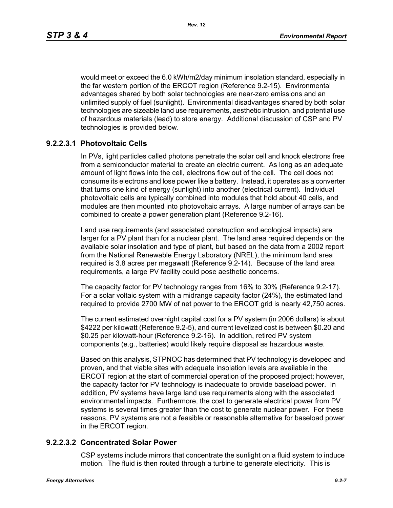would meet or exceed the 6.0 kWh/m2/day minimum insolation standard, especially in the far western portion of the ERCOT region (Reference 9.2-15). Environmental advantages shared by both solar technologies are near-zero emissions and an unlimited supply of fuel (sunlight). Environmental disadvantages shared by both solar technologies are sizeable land use requirements, aesthetic intrusion, and potential use of hazardous materials (lead) to store energy. Additional discussion of CSP and PV technologies is provided below.

## **9.2.2.3.1 Photovoltaic Cells**

In PVs, light particles called photons penetrate the solar cell and knock electrons free from a semiconductor material to create an electric current. As long as an adequate amount of light flows into the cell, electrons flow out of the cell. The cell does not consume its electrons and lose power like a battery. Instead, it operates as a converter that turns one kind of energy (sunlight) into another (electrical current). Individual photovoltaic cells are typically combined into modules that hold about 40 cells, and modules are then mounted into photovoltaic arrays. A large number of arrays can be combined to create a power generation plant (Reference 9.2-16).

Land use requirements (and associated construction and ecological impacts) are larger for a PV plant than for a nuclear plant. The land area required depends on the available solar insolation and type of plant, but based on the data from a 2002 report from the National Renewable Energy Laboratory (NREL), the minimum land area required is 3.8 acres per megawatt (Reference 9.2-14). Because of the land area requirements, a large PV facility could pose aesthetic concerns.

The capacity factor for PV technology ranges from 16% to 30% (Reference 9.2-17). For a solar voltaic system with a midrange capacity factor (24%), the estimated land required to provide 2700 MW of net power to the ERCOT grid is nearly 42,750 acres.

The current estimated overnight capital cost for a PV system (in 2006 dollars) is about \$4222 per kilowatt (Reference 9.2-5), and current levelized cost is between \$0.20 and \$0.25 per kilowatt-hour (Reference 9.2-16). In addition, retired PV system components (e.g., batteries) would likely require disposal as hazardous waste.

Based on this analysis, STPNOC has determined that PV technology is developed and proven, and that viable sites with adequate insolation levels are available in the ERCOT region at the start of commercial operation of the proposed project; however, the capacity factor for PV technology is inadequate to provide baseload power. In addition, PV systems have large land use requirements along with the associated environmental impacts. Furthermore, the cost to generate electrical power from PV systems is several times greater than the cost to generate nuclear power. For these reasons, PV systems are not a feasible or reasonable alternative for baseload power in the ERCOT region.

### **9.2.2.3.2 Concentrated Solar Power**

CSP systems include mirrors that concentrate the sunlight on a fluid system to induce motion. The fluid is then routed through a turbine to generate electricity. This is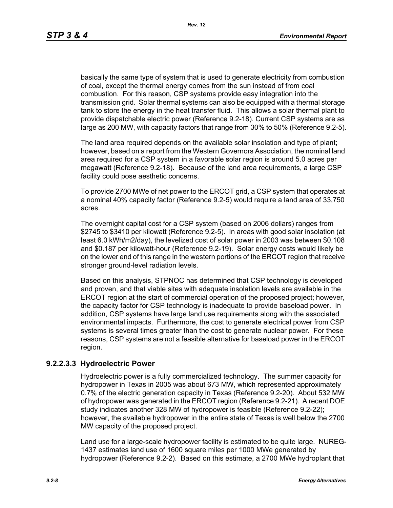basically the same type of system that is used to generate electricity from combustion of coal, except the thermal energy comes from the sun instead of from coal combustion. For this reason, CSP systems provide easy integration into the transmission grid. Solar thermal systems can also be equipped with a thermal storage tank to store the energy in the heat transfer fluid. This allows a solar thermal plant to provide dispatchable electric power (Reference 9.2-18). Current CSP systems are as large as 200 MW, with capacity factors that range from 30% to 50% (Reference 9.2-5).

The land area required depends on the available solar insolation and type of plant; however, based on a report from the Western Governors Association, the nominal land area required for a CSP system in a favorable solar region is around 5.0 acres per megawatt (Reference 9.2-18). Because of the land area requirements, a large CSP facility could pose aesthetic concerns.

To provide 2700 MWe of net power to the ERCOT grid, a CSP system that operates at a nominal 40% capacity factor (Reference 9.2-5) would require a land area of 33,750 acres.

The overnight capital cost for a CSP system (based on 2006 dollars) ranges from \$2745 to \$3410 per kilowatt (Reference 9.2-5). In areas with good solar insolation (at least 6.0 kWh/m2/day), the levelized cost of solar power in 2003 was between \$0.108 and \$0.187 per kilowatt-hour (Reference 9.2-19). Solar energy costs would likely be on the lower end of this range in the western portions of the ERCOT region that receive stronger ground-level radiation levels.

Based on this analysis, STPNOC has determined that CSP technology is developed and proven, and that viable sites with adequate insolation levels are available in the ERCOT region at the start of commercial operation of the proposed project; however, the capacity factor for CSP technology is inadequate to provide baseload power. In addition, CSP systems have large land use requirements along with the associated environmental impacts. Furthermore, the cost to generate electrical power from CSP systems is several times greater than the cost to generate nuclear power. For these reasons, CSP systems are not a feasible alternative for baseload power in the ERCOT region.

### **9.2.2.3.3 Hydroelectric Power**

Hydroelectric power is a fully commercialized technology. The summer capacity for hydropower in Texas in 2005 was about 673 MW, which represented approximately 0.7% of the electric generation capacity in Texas (Reference 9.2-20). About 532 MW of hydropower was generated in the ERCOT region (Reference 9.2-21). A recent DOE study indicates another 328 MW of hydropower is feasible (Reference 9.2-22); however, the available hydropower in the entire state of Texas is well below the 2700 MW capacity of the proposed project.

Land use for a large-scale hydropower facility is estimated to be quite large. NUREG-1437 estimates land use of 1600 square miles per 1000 MWe generated by hydropower (Reference 9.2-2). Based on this estimate, a 2700 MWe hydroplant that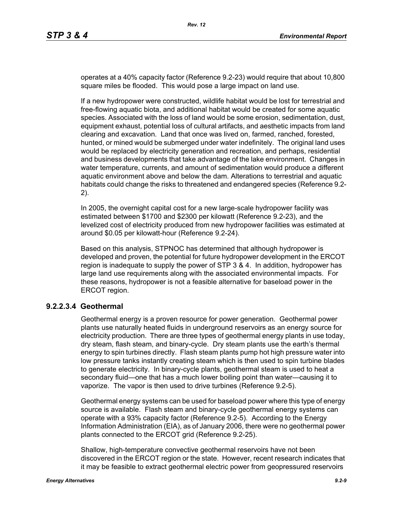operates at a 40% capacity factor (Reference 9.2-23) would require that about 10,800 square miles be flooded. This would pose a large impact on land use.

If a new hydropower were constructed, wildlife habitat would be lost for terrestrial and free-flowing aquatic biota, and additional habitat would be created for some aquatic species. Associated with the loss of land would be some erosion, sedimentation, dust, equipment exhaust, potential loss of cultural artifacts, and aesthetic impacts from land clearing and excavation. Land that once was lived on, farmed, ranched, forested, hunted, or mined would be submerged under water indefinitely. The original land uses would be replaced by electricity generation and recreation, and perhaps, residential and business developments that take advantage of the lake environment. Changes in water temperature, currents, and amount of sedimentation would produce a different aquatic environment above and below the dam. Alterations to terrestrial and aquatic habitats could change the risks to threatened and endangered species (Reference 9.2- 2).

In 2005, the overnight capital cost for a new large-scale hydropower facility was estimated between \$1700 and \$2300 per kilowatt (Reference 9.2-23), and the levelized cost of electricity produced from new hydropower facilities was estimated at around \$0.05 per kilowatt-hour (Reference 9.2-24).

Based on this analysis, STPNOC has determined that although hydropower is developed and proven, the potential for future hydropower development in the ERCOT region is inadequate to supply the power of STP 3 & 4. In addition, hydropower has large land use requirements along with the associated environmental impacts. For these reasons, hydropower is not a feasible alternative for baseload power in the ERCOT region.

### **9.2.2.3.4 Geothermal**

Geothermal energy is a proven resource for power generation. Geothermal power plants use naturally heated fluids in underground reservoirs as an energy source for electricity production. There are three types of geothermal energy plants in use today, dry steam, flash steam, and binary-cycle. Dry steam plants use the earth's thermal energy to spin turbines directly. Flash steam plants pump hot high pressure water into low pressure tanks instantly creating steam which is then used to spin turbine blades to generate electricity. In binary-cycle plants, geothermal steam is used to heat a secondary fluid—one that has a much lower boiling point than water—causing it to vaporize. The vapor is then used to drive turbines (Reference 9.2-5).

Geothermal energy systems can be used for baseload power where this type of energy source is available. Flash steam and binary-cycle geothermal energy systems can operate with a 93% capacity factor (Reference 9.2-5). According to the Energy Information Administration (EIA), as of January 2006, there were no geothermal power plants connected to the ERCOT grid (Reference 9.2-25).

Shallow, high-temperature convective geothermal reservoirs have not been discovered in the ERCOT region or the state. However, recent research indicates that it may be feasible to extract geothermal electric power from geopressured reservoirs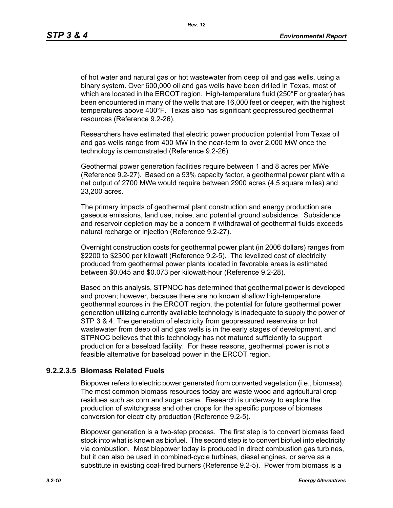*Rev. 12*

of hot water and natural gas or hot wastewater from deep oil and gas wells, using a binary system. Over 600,000 oil and gas wells have been drilled in Texas, most of which are located in the ERCOT region. High-temperature fluid (250°F or greater) has been encountered in many of the wells that are 16,000 feet or deeper, with the highest temperatures above 400°F. Texas also has significant geopressured geothermal resources (Reference 9.2-26).

Researchers have estimated that electric power production potential from Texas oil and gas wells range from 400 MW in the near-term to over 2,000 MW once the technology is demonstrated (Reference 9.2-26).

Geothermal power generation facilities require between 1 and 8 acres per MWe (Reference 9.2-27). Based on a 93% capacity factor, a geothermal power plant with a net output of 2700 MWe would require between 2900 acres (4.5 square miles) and 23,200 acres.

The primary impacts of geothermal plant construction and energy production are gaseous emissions, land use, noise, and potential ground subsidence. Subsidence and reservoir depletion may be a concern if withdrawal of geothermal fluids exceeds natural recharge or injection (Reference 9.2-27).

Overnight construction costs for geothermal power plant (in 2006 dollars) ranges from \$2200 to \$2300 per kilowatt (Reference 9.2-5). The levelized cost of electricity produced from geothermal power plants located in favorable areas is estimated between \$0.045 and \$0.073 per kilowatt-hour (Reference 9.2-28).

Based on this analysis, STPNOC has determined that geothermal power is developed and proven; however, because there are no known shallow high-temperature geothermal sources in the ERCOT region, the potential for future geothermal power generation utilizing currently available technology is inadequate to supply the power of STP 3 & 4. The generation of electricity from geopressured reservoirs or hot wastewater from deep oil and gas wells is in the early stages of development, and STPNOC believes that this technology has not matured sufficiently to support production for a baseload facility. For these reasons, geothermal power is not a feasible alternative for baseload power in the ERCOT region.

## **9.2.2.3.5 Biomass Related Fuels**

Biopower refers to electric power generated from converted vegetation (i.e., biomass). The most common biomass resources today are waste wood and agricultural crop residues such as corn and sugar cane. Research is underway to explore the production of switchgrass and other crops for the specific purpose of biomass conversion for electricity production (Reference 9.2-5).

Biopower generation is a two-step process. The first step is to convert biomass feed stock into what is known as biofuel. The second step is to convert biofuel into electricity via combustion. Most biopower today is produced in direct combustion gas turbines, but it can also be used in combined-cycle turbines, diesel engines, or serve as a substitute in existing coal-fired burners (Reference 9.2-5). Power from biomass is a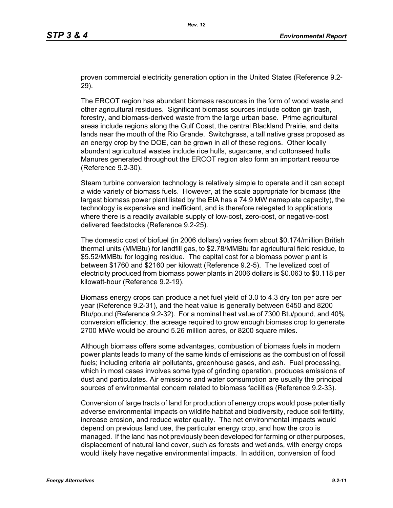proven commercial electricity generation option in the United States (Reference 9.2- 29).

The ERCOT region has abundant biomass resources in the form of wood waste and other agricultural residues. Significant biomass sources include cotton gin trash, forestry, and biomass-derived waste from the large urban base. Prime agricultural areas include regions along the Gulf Coast, the central Blackland Prairie, and delta lands near the mouth of the Rio Grande. Switchgrass, a tall native grass proposed as an energy crop by the DOE, can be grown in all of these regions. Other locally abundant agricultural wastes include rice hulls, sugarcane, and cottonseed hulls. Manures generated throughout the ERCOT region also form an important resource (Reference 9.2-30).

Steam turbine conversion technology is relatively simple to operate and it can accept a wide variety of biomass fuels. However, at the scale appropriate for biomass (the largest biomass power plant listed by the EIA has a 74.9 MW nameplate capacity), the technology is expensive and inefficient, and is therefore relegated to applications where there is a readily available supply of low-cost, zero-cost, or negative-cost delivered feedstocks (Reference 9.2-25).

The domestic cost of biofuel (in 2006 dollars) varies from about \$0.174/million British thermal units (MMBtu) for landfill gas, to \$2.78/MMBtu for agricultural field residue, to \$5.52/MMBtu for logging residue. The capital cost for a biomass power plant is between \$1760 and \$2160 per kilowatt (Reference 9.2-5). The levelized cost of electricity produced from biomass power plants in 2006 dollars is \$0.063 to \$0.118 per kilowatt-hour (Reference 9.2-19).

Biomass energy crops can produce a net fuel yield of 3.0 to 4.3 dry ton per acre per year (Reference 9.2-31), and the heat value is generally between 6450 and 8200 Btu/pound (Reference 9.2-32). For a nominal heat value of 7300 Btu/pound, and 40% conversion efficiency, the acreage required to grow enough biomass crop to generate 2700 MWe would be around 5.26 million acres, or 8200 square miles.

Although biomass offers some advantages, combustion of biomass fuels in modern power plants leads to many of the same kinds of emissions as the combustion of fossil fuels; including criteria air pollutants, greenhouse gases, and ash. Fuel processing, which in most cases involves some type of grinding operation, produces emissions of dust and particulates. Air emissions and water consumption are usually the principal sources of environmental concern related to biomass facilities (Reference 9.2-33).

Conversion of large tracts of land for production of energy crops would pose potentially adverse environmental impacts on wildlife habitat and biodiversity, reduce soil fertility, increase erosion, and reduce water quality. The net environmental impacts would depend on previous land use, the particular energy crop, and how the crop is managed. If the land has not previously been developed for farming or other purposes, displacement of natural land cover, such as forests and wetlands, with energy crops would likely have negative environmental impacts. In addition, conversion of food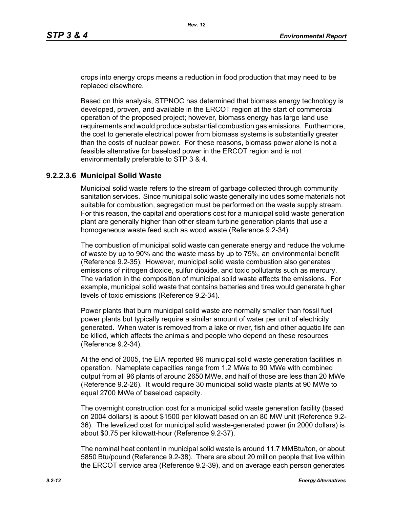crops into energy crops means a reduction in food production that may need to be replaced elsewhere.

Based on this analysis, STPNOC has determined that biomass energy technology is developed, proven, and available in the ERCOT region at the start of commercial operation of the proposed project; however, biomass energy has large land use requirements and would produce substantial combustion gas emissions. Furthermore, the cost to generate electrical power from biomass systems is substantially greater than the costs of nuclear power. For these reasons, biomass power alone is not a feasible alternative for baseload power in the ERCOT region and is not environmentally preferable to STP 3 & 4.

### **9.2.2.3.6 Municipal Solid Waste**

Municipal solid waste refers to the stream of garbage collected through community sanitation services. Since municipal solid waste generally includes some materials not suitable for combustion, segregation must be performed on the waste supply stream. For this reason, the capital and operations cost for a municipal solid waste generation plant are generally higher than other steam turbine generation plants that use a homogeneous waste feed such as wood waste (Reference 9.2-34).

The combustion of municipal solid waste can generate energy and reduce the volume of waste by up to 90% and the waste mass by up to 75%, an environmental benefit (Reference 9.2-35). However, municipal solid waste combustion also generates emissions of nitrogen dioxide, sulfur dioxide, and toxic pollutants such as mercury. The variation in the composition of municipal solid waste affects the emissions. For example, municipal solid waste that contains batteries and tires would generate higher levels of toxic emissions (Reference 9.2-34).

Power plants that burn municipal solid waste are normally smaller than fossil fuel power plants but typically require a similar amount of water per unit of electricity generated. When water is removed from a lake or river, fish and other aquatic life can be killed, which affects the animals and people who depend on these resources (Reference 9.2-34).

At the end of 2005, the EIA reported 96 municipal solid waste generation facilities in operation. Nameplate capacities range from 1.2 MWe to 90 MWe with combined output from all 96 plants of around 2650 MWe, and half of those are less than 20 MWe (Reference 9.2-26). It would require 30 municipal solid waste plants at 90 MWe to equal 2700 MWe of baseload capacity.

The overnight construction cost for a municipal solid waste generation facility (based on 2004 dollars) is about \$1500 per kilowatt based on an 80 MW unit (Reference 9.2- 36). The levelized cost for municipal solid waste-generated power (in 2000 dollars) is about \$0.75 per kilowatt-hour (Reference 9.2-37).

The nominal heat content in municipal solid waste is around 11.7 MMBtu/ton, or about 5850 Btu/pound (Reference 9.2-38). There are about 20 million people that live within the ERCOT service area (Reference 9.2-39), and on average each person generates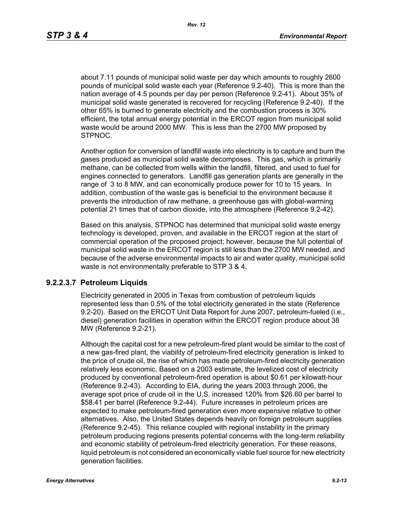about 7.11 pounds of municipal solid waste per day which amounts to roughly 2600 pounds of municipal solid waste each year (Reference 9.2-40). This is more than the nation average of 4.5 pounds per day per person (Reference 9.2-41). About 35% of municipal solid waste generated is recovered for recycling (Reference 9.2-40). If the other 65% is burned to generate electricity and the combustion process is 30% efficient, the total annual energy potential in the ERCOT region from municipal solid waste would be around 2000 MW. This is less than the 2700 MW proposed by STPNOC.

Another option for conversion of landfill waste into electricity is to capture and burn the gases produced as municipal solid waste decomposes. This gas, which is primarily methane, can be collected from wells within the landfill, filtered, and used to fuel for engines connected to generators. Landfill gas generation plants are generally in the range of 3 to 8 MW, and can economically produce power for 10 to 15 years. In addition, combustion of the waste gas is beneficial to the environment because it prevents the introduction of raw methane, a greenhouse gas with global-warming potential 21 times that of carbon dioxide, into the atmosphere (Reference 9.2-42).

Based on this analysis, STPNOC has determined that municipal solid waste energy technology is developed, proven, and available in the ERCOT region at the start of commercial operation of the proposed project; however, because the full potential of municipal solid waste in the ERCOT region is still less than the 2700 MW needed, and because of the adverse environmental impacts to air and water quality, municipal solid waste is not environmentally preferable to STP 3 & 4.

### **9.2.2.3.7 Petroleum Liquids**

Electricity generated in 2005 in Texas from combustion of petroleum liquids represented less than 0.5% of the total electricity generated in the state (Reference 9.2-20). Based on the ERCOT Unit Data Report for June 2007, petroleum-fueled (i.e., diesel) generation facilities in operation within the ERCOT region produce about 38 MW (Reference 9.2-21).

Although the capital cost for a new petroleum-fired plant would be similar to the cost of a new gas-fired plant, the viability of petroleum-fired electricity generation is linked to the price of crude oil, the rise of which has made petroleum-fired electricity generation relatively less economic. Based on a 2003 estimate, the levelized cost of electricity produced by conventional petroleum-fired operation is about \$0.61 per kilowatt-hour (Reference 9.2-43). According to EIA, during the years 2003 through 2006, the average spot price of crude oil in the U.S. increased 120% from \$26.60 per barrel to \$58.41 per barrel (Reference 9.2-44). Future increases in petroleum prices are expected to make petroleum-fired generation even more expensive relative to other alternatives. Also, the United States depends heavily on foreign petroleum supplies (Reference 9.2-45). This reliance coupled with regional instability in the primary petroleum producing regions presents potential concerns with the long-term reliability and economic stability of petroleum-fired electricity generation. For these reasons, liquid petroleum is not considered an economically viable fuel source for new electricity generation facilities.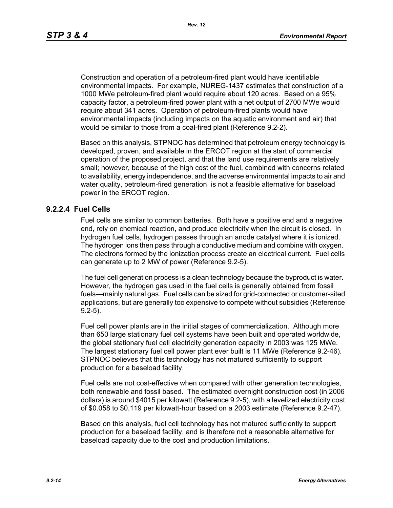Construction and operation of a petroleum-fired plant would have identifiable environmental impacts. For example, NUREG-1437 estimates that construction of a 1000 MWe petroleum-fired plant would require about 120 acres. Based on a 95% capacity factor, a petroleum-fired power plant with a net output of 2700 MWe would require about 341 acres. Operation of petroleum-fired plants would have environmental impacts (including impacts on the aquatic environment and air) that would be similar to those from a coal-fired plant (Reference 9.2-2).

Based on this analysis, STPNOC has determined that petroleum energy technology is developed, proven, and available in the ERCOT region at the start of commercial operation of the proposed project, and that the land use requirements are relatively small; however, because of the high cost of the fuel, combined with concerns related to availability, energy independence, and the adverse environmental impacts to air and water quality, petroleum-fired generation is not a feasible alternative for baseload power in the ERCOT region.

### **9.2.2.4 Fuel Cells**

Fuel cells are similar to common batteries. Both have a positive end and a negative end, rely on chemical reaction, and produce electricity when the circuit is closed. In hydrogen fuel cells, hydrogen passes through an anode catalyst where it is ionized. The hydrogen ions then pass through a conductive medium and combine with oxygen. The electrons formed by the ionization process create an electrical current. Fuel cells can generate up to 2 MW of power (Reference 9.2-5).

The fuel cell generation process is a clean technology because the byproduct is water. However, the hydrogen gas used in the fuel cells is generally obtained from fossil fuels—mainly natural gas. Fuel cells can be sized for grid-connected or customer-sited applications, but are generally too expensive to compete without subsidies (Reference 9.2-5).

Fuel cell power plants are in the initial stages of commercialization. Although more than 650 large stationary fuel cell systems have been built and operated worldwide, the global stationary fuel cell electricity generation capacity in 2003 was 125 MWe. The largest stationary fuel cell power plant ever built is 11 MWe (Reference 9.2-46). STPNOC believes that this technology has not matured sufficiently to support production for a baseload facility.

Fuel cells are not cost-effective when compared with other generation technologies, both renewable and fossil based. The estimated overnight construction cost (in 2006 dollars) is around \$4015 per kilowatt (Reference 9.2-5), with a levelized electricity cost of \$0.058 to \$0.119 per kilowatt-hour based on a 2003 estimate (Reference 9.2-47).

Based on this analysis, fuel cell technology has not matured sufficiently to support production for a baseload facility, and is therefore not a reasonable alternative for baseload capacity due to the cost and production limitations.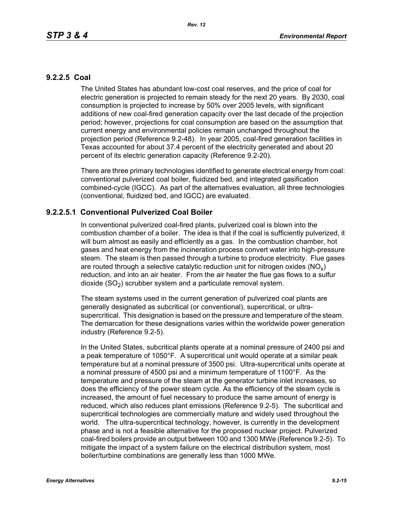## **9.2.2.5 Coal**

The United States has abundant low-cost coal reserves, and the price of coal for electric generation is projected to remain steady for the next 20 years. By 2030, coal consumption is projected to increase by 50% over 2005 levels, with significant additions of new coal-fired generation capacity over the last decade of the projection period; however, projections for coal consumption are based on the assumption that current energy and environmental policies remain unchanged throughout the projection period (Reference 9.2-48). In year 2005, coal-fired generation facilities in Texas accounted for about 37.4 percent of the electricity generated and about 20 percent of its electric generation capacity (Reference 9.2-20).

There are three primary technologies identified to generate electrical energy from coal: conventional pulverized coal boiler, fluidized bed, and integrated gasification combined-cycle (IGCC). As part of the alternatives evaluation, all three technologies (conventional, fluidized bed, and IGCC) are evaluated.

## **9.2.2.5.1 Conventional Pulverized Coal Boiler**

In conventional pulverized coal-fired plants, pulverized coal is blown into the combustion chamber of a boiler. The idea is that if the coal is sufficiently pulverized, it will burn almost as easily and efficiently as a gas. In the combustion chamber, hot gases and heat energy from the incineration process convert water into high-pressure steam. The steam is then passed through a turbine to produce electricity. Flue gases are routed through a selective catalytic reduction unit for nitrogen oxides ( $NO<sub>v</sub>$ ) reduction, and into an air heater. From the air heater the flue gas flows to a sulfur dioxide  $(SO<sub>2</sub>)$  scrubber system and a particulate removal system.

The steam systems used in the current generation of pulverized coal plants are generally designated as subcritical (or conventional), supercritical, or ultrasupercritical. This designation is based on the pressure and temperature of the steam. The demarcation for these designations varies within the worldwide power generation industry (Reference 9.2-5).

In the United States, subcritical plants operate at a nominal pressure of 2400 psi and a peak temperature of 1050°F. A supercritical unit would operate at a similar peak temperature but at a nominal pressure of 3500 psi. Ultra-supercritical units operate at a nominal pressure of 4500 psi and a minimum temperature of 1100°F. As the temperature and pressure of the steam at the generator turbine inlet increases, so does the efficiency of the power steam cycle. As the efficiency of the steam cycle is increased, the amount of fuel necessary to produce the same amount of energy is reduced, which also reduces plant emissions (Reference 9.2-5). The subcritical and supercritical technologies are commercially mature and widely used throughout the world. The ultra-supercritical technology, however, is currently in the development phase and is not a feasible alternative for the proposed nuclear project. Pulverized coal-fired boilers provide an output between 100 and 1300 MWe (Reference 9.2-5). To mitigate the impact of a system failure on the electrical distribution system, most boiler/turbine combinations are generally less than 1000 MWe.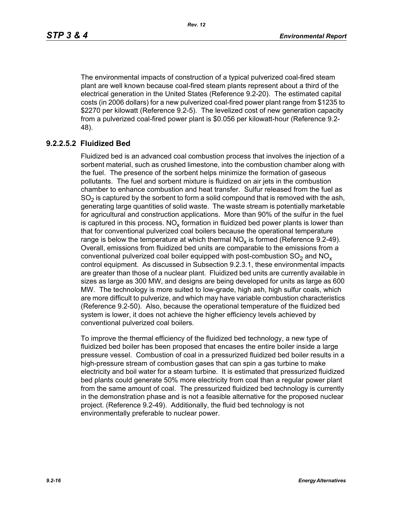The environmental impacts of construction of a typical pulverized coal-fired steam plant are well known because coal-fired steam plants represent about a third of the electrical generation in the United States (Reference 9.2-20). The estimated capital costs (in 2006 dollars) for a new pulverized coal-fired power plant range from \$1235 to \$2270 per kilowatt (Reference 9.2-5). The levelized cost of new generation capacity from a pulverized coal-fired power plant is \$0.056 per kilowatt-hour (Reference 9.2- 48).

# **9.2.2.5.2 Fluidized Bed**

Fluidized bed is an advanced coal combustion process that involves the injection of a sorbent material, such as crushed limestone, into the combustion chamber along with the fuel. The presence of the sorbent helps minimize the formation of gaseous pollutants. The fuel and sorbent mixture is fluidized on air jets in the combustion chamber to enhance combustion and heat transfer. Sulfur released from the fuel as  $SO<sub>2</sub>$  is captured by the sorbent to form a solid compound that is removed with the ash, generating large quantities of solid waste. The waste stream is potentially marketable for agricultural and construction applications. More than 90% of the sulfur in the fuel is captured in this process.  $NO_{v}$  formation in fluidized bed power plants is lower than that for conventional pulverized coal boilers because the operational temperature range is below the temperature at which thermal  $NO<sub>x</sub>$  is formed (Reference 9.2-49). Overall, emissions from fluidized bed units are comparable to the emissions from a conventional pulverized coal boiler equipped with post-combustion  $SO<sub>2</sub>$  and  $NO<sub>x</sub>$ control equipment. As discussed in Subsection 9.2.3.1, these environmental impacts are greater than those of a nuclear plant. Fluidized bed units are currently available in sizes as large as 300 MW, and designs are being developed for units as large as 600 MW. The technology is more suited to low-grade, high ash, high sulfur coals, which are more difficult to pulverize, and which may have variable combustion characteristics (Reference 9.2-50). Also, because the operational temperature of the fluidized bed system is lower, it does not achieve the higher efficiency levels achieved by conventional pulverized coal boilers.

To improve the thermal efficiency of the fluidized bed technology, a new type of fluidized bed boiler has been proposed that encases the entire boiler inside a large pressure vessel. Combustion of coal in a pressurized fluidized bed boiler results in a high-pressure stream of combustion gases that can spin a gas turbine to make electricity and boil water for a steam turbine. It is estimated that pressurized fluidized bed plants could generate 50% more electricity from coal than a regular power plant from the same amount of coal. The pressurized fluidized bed technology is currently in the demonstration phase and is not a feasible alternative for the proposed nuclear project. (Reference 9.2-49). Additionally, the fluid bed technology is not environmentally preferable to nuclear power.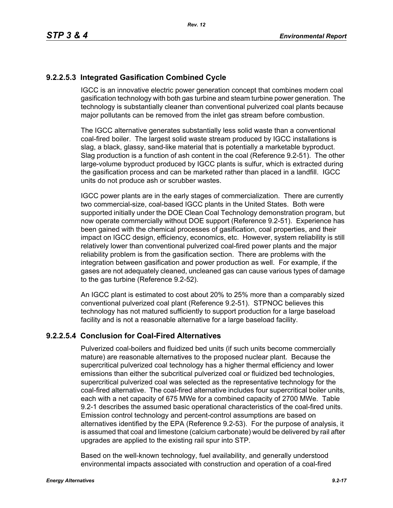# **9.2.2.5.3 Integrated Gasification Combined Cycle**

IGCC is an innovative electric power generation concept that combines modern coal gasification technology with both gas turbine and steam turbine power generation. The technology is substantially cleaner than conventional pulverized coal plants because major pollutants can be removed from the inlet gas stream before combustion.

The IGCC alternative generates substantially less solid waste than a conventional coal-fired boiler. The largest solid waste stream produced by IGCC installations is slag, a black, glassy, sand-like material that is potentially a marketable byproduct. Slag production is a function of ash content in the coal (Reference 9.2-51). The other large-volume byproduct produced by IGCC plants is sulfur, which is extracted during the gasification process and can be marketed rather than placed in a landfill. IGCC units do not produce ash or scrubber wastes.

IGCC power plants are in the early stages of commercialization. There are currently two commercial-size, coal-based IGCC plants in the United States. Both were supported initially under the DOE Clean Coal Technology demonstration program, but now operate commercially without DOE support (Reference 9.2-51). Experience has been gained with the chemical processes of gasification, coal properties, and their impact on IGCC design, efficiency, economics, etc. However, system reliability is still relatively lower than conventional pulverized coal-fired power plants and the major reliability problem is from the gasification section. There are problems with the integration between gasification and power production as well. For example, if the gases are not adequately cleaned, uncleaned gas can cause various types of damage to the gas turbine (Reference 9.2-52).

An IGCC plant is estimated to cost about 20% to 25% more than a comparably sized conventional pulverized coal plant (Reference 9.2-51). STPNOC believes this technology has not matured sufficiently to support production for a large baseload facility and is not a reasonable alternative for a large baseload facility.

## **9.2.2.5.4 Conclusion for Coal-Fired Alternatives**

Pulverized coal-boilers and fluidized bed units (if such units become commercially mature) are reasonable alternatives to the proposed nuclear plant. Because the supercritical pulverized coal technology has a higher thermal efficiency and lower emissions than either the subcritical pulverized coal or fluidized bed technologies, supercritical pulverized coal was selected as the representative technology for the coal-fired alternative. The coal-fired alternative includes four supercritical boiler units, each with a net capacity of 675 MWe for a combined capacity of 2700 MWe. Table 9.2-1 describes the assumed basic operational characteristics of the coal-fired units. Emission control technology and percent-control assumptions are based on alternatives identified by the EPA (Reference 9.2-53). For the purpose of analysis, it is assumed that coal and limestone (calcium carbonate) would be delivered by rail after upgrades are applied to the existing rail spur into STP.

Based on the well-known technology, fuel availability, and generally understood environmental impacts associated with construction and operation of a coal-fired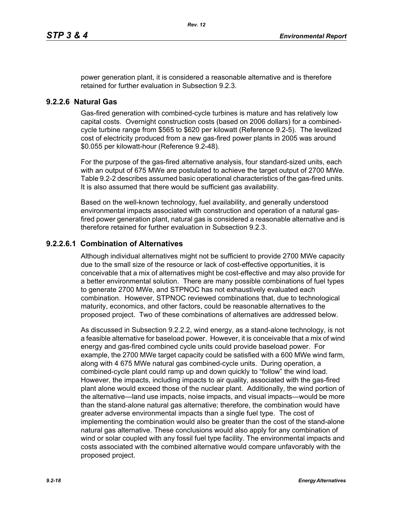power generation plant, it is considered a reasonable alternative and is therefore retained for further evaluation in Subsection 9.2.3.

## **9.2.2.6 Natural Gas**

Gas-fired generation with combined-cycle turbines is mature and has relatively low capital costs. Overnight construction costs (based on 2006 dollars) for a combinedcycle turbine range from \$565 to \$620 per kilowatt (Reference 9.2-5). The levelized cost of electricity produced from a new gas-fired power plants in 2005 was around \$0.055 per kilowatt-hour (Reference 9.2-48).

For the purpose of the gas-fired alternative analysis, four standard-sized units, each with an output of 675 MWe are postulated to achieve the target output of 2700 MWe. Table 9.2-2 describes assumed basic operational characteristics of the gas-fired units. It is also assumed that there would be sufficient gas availability.

Based on the well-known technology, fuel availability, and generally understood environmental impacts associated with construction and operation of a natural gasfired power generation plant, natural gas is considered a reasonable alternative and is therefore retained for further evaluation in Subsection 9.2.3.

## **9.2.2.6.1 Combination of Alternatives**

Although individual alternatives might not be sufficient to provide 2700 MWe capacity due to the small size of the resource or lack of cost-effective opportunities, it is conceivable that a mix of alternatives might be cost-effective and may also provide for a better environmental solution. There are many possible combinations of fuel types to generate 2700 MWe, and STPNOC has not exhaustively evaluated each combination. However, STPNOC reviewed combinations that, due to technological maturity, economics, and other factors, could be reasonable alternatives to the proposed project. Two of these combinations of alternatives are addressed below.

As discussed in Subsection 9.2.2.2, wind energy, as a stand-alone technology, is not a feasible alternative for baseload power. However, it is conceivable that a mix of wind energy and gas-fired combined cycle units could provide baseload power. For example, the 2700 MWe target capacity could be satisfied with a 600 MWe wind farm, along with 4 675 MWe natural gas combined-cycle units. During operation, a combined-cycle plant could ramp up and down quickly to "follow" the wind load. However, the impacts, including impacts to air quality, associated with the gas-fired plant alone would exceed those of the nuclear plant. Additionally, the wind portion of the alternative—land use impacts, noise impacts, and visual impacts—would be more than the stand-alone natural gas alternative; therefore, the combination would have greater adverse environmental impacts than a single fuel type. The cost of implementing the combination would also be greater than the cost of the stand-alone natural gas alternative. These conclusions would also apply for any combination of wind or solar coupled with any fossil fuel type facility. The environmental impacts and costs associated with the combined alternative would compare unfavorably with the proposed project.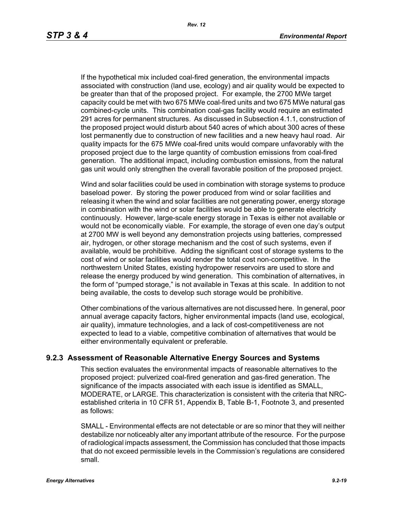If the hypothetical mix included coal-fired generation, the environmental impacts associated with construction (land use, ecology) and air quality would be expected to be greater than that of the proposed project. For example, the 2700 MWe target capacity could be met with two 675 MWe coal-fired units and two 675 MWe natural gas combined-cycle units. This combination coal-gas facility would require an estimated 291 acres for permanent structures. As discussed in Subsection 4.1.1, construction of the proposed project would disturb about 540 acres of which about 300 acres of these lost permanently due to construction of new facilities and a new heavy haul road. Air quality impacts for the 675 MWe coal-fired units would compare unfavorably with the proposed project due to the large quantity of combustion emissions from coal-fired generation. The additional impact, including combustion emissions, from the natural gas unit would only strengthen the overall favorable position of the proposed project.

Wind and solar facilities could be used in combination with storage systems to produce baseload power. By storing the power produced from wind or solar facilities and releasing it when the wind and solar facilities are not generating power, energy storage in combination with the wind or solar facilities would be able to generate electricity continuously. However, large-scale energy storage in Texas is either not available or would not be economically viable. For example, the storage of even one day's output at 2700 MW is well beyond any demonstration projects using batteries, compressed air, hydrogen, or other storage mechanism and the cost of such systems, even if available, would be prohibitive. Adding the significant cost of storage systems to the cost of wind or solar facilities would render the total cost non-competitive. In the northwestern United States, existing hydropower reservoirs are used to store and release the energy produced by wind generation. This combination of alternatives, in the form of "pumped storage," is not available in Texas at this scale. In addition to not being available, the costs to develop such storage would be prohibitive.

Other combinations of the various alternatives are not discussed here. In general, poor annual average capacity factors, higher environmental impacts (land use, ecological, air quality), immature technologies, and a lack of cost-competitiveness are not expected to lead to a viable, competitive combination of alternatives that would be either environmentally equivalent or preferable.

## **9.2.3 Assessment of Reasonable Alternative Energy Sources and Systems**

This section evaluates the environmental impacts of reasonable alternatives to the proposed project: pulverized coal-fired generation and gas-fired generation. The significance of the impacts associated with each issue is identified as SMALL, MODERATE, or LARGE. This characterization is consistent with the criteria that NRCestablished criteria in 10 CFR 51, Appendix B, Table B-1, Footnote 3, and presented as follows:

SMALL - Environmental effects are not detectable or are so minor that they will neither destabilize nor noticeably alter any important attribute of the resource. For the purpose of radiological impacts assessment, the Commission has concluded that those impacts that do not exceed permissible levels in the Commission's regulations are considered small.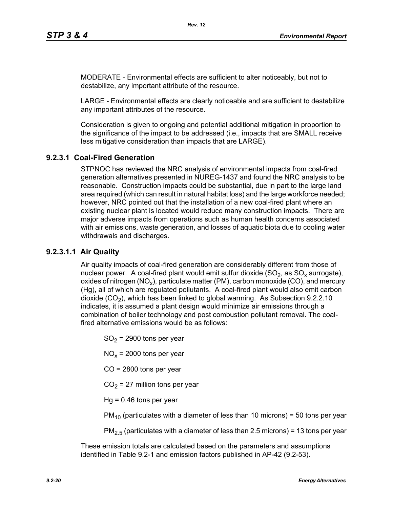MODERATE - Environmental effects are sufficient to alter noticeably, but not to destabilize, any important attribute of the resource.

LARGE - Environmental effects are clearly noticeable and are sufficient to destabilize any important attributes of the resource.

Consideration is given to ongoing and potential additional mitigation in proportion to the significance of the impact to be addressed (i.e., impacts that are SMALL receive less mitigative consideration than impacts that are LARGE).

# **9.2.3.1 Coal-Fired Generation**

STPNOC has reviewed the NRC analysis of environmental impacts from coal-fired generation alternatives presented in NUREG-1437 and found the NRC analysis to be reasonable. Construction impacts could be substantial, due in part to the large land area required (which can result in natural habitat loss) and the large workforce needed; however, NRC pointed out that the installation of a new coal-fired plant where an existing nuclear plant is located would reduce many construction impacts. There are major adverse impacts from operations such as human health concerns associated with air emissions, waste generation, and losses of aquatic biota due to cooling water withdrawals and discharges.

## **9.2.3.1.1 Air Quality**

Air quality impacts of coal-fired generation are considerably different from those of nuclear power. A coal-fired plant would emit sulfur dioxide  $(SO<sub>2</sub>)$ , as  $SO<sub>x</sub>$  surrogate), oxides of nitrogen (NO<sub>x</sub>), particulate matter (PM), carbon monoxide (CO), and mercury (Hg), all of which are regulated pollutants. A coal-fired plant would also emit carbon dioxide  $(CO<sub>2</sub>)$ , which has been linked to global warming. As Subsection 9.2.2.10 indicates, it is assumed a plant design would minimize air emissions through a combination of boiler technology and post combustion pollutant removal. The coalfired alternative emissions would be as follows:

 $SO<sub>2</sub>$  = 2900 tons per year

 $NO<sub>x</sub>$  = 2000 tons per year

CO = 2800 tons per year

 $CO<sub>2</sub> = 27$  million tons per year

 $Hq = 0.46$  tons per year

 $PM_{10}$  (particulates with a diameter of less than 10 microns) = 50 tons per year

 $PM<sub>2.5</sub>$  (particulates with a diameter of less than 2.5 microns) = 13 tons per year

These emission totals are calculated based on the parameters and assumptions identified in Table 9.2-1 and emission factors published in AP-42 (9.2-53).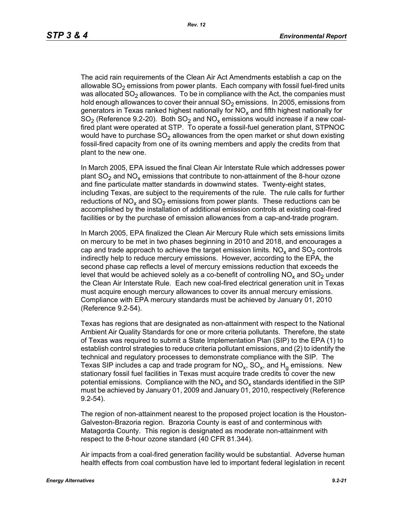The acid rain requirements of the Clean Air Act Amendments establish a cap on the allowable  $SO<sub>2</sub>$  emissions from power plants. Each company with fossil fuel-fired units was allocated  $SO<sub>2</sub>$  allowances. To be in compliance with the Act, the companies must hold enough allowances to cover their annual  $SO<sub>2</sub>$  emissions. In 2005, emissions from generators in Texas ranked highest nationally for  $NO<sub>x</sub>$  and fifth highest nationally for  $SO<sub>2</sub>$  (Reference 9.2-20). Both  $SO<sub>2</sub>$  and  $NO<sub>x</sub>$  emissions would increase if a new coalfired plant were operated at STP. To operate a fossil-fuel generation plant, STPNOC would have to purchase  $SO<sub>2</sub>$  allowances from the open market or shut down existing fossil-fired capacity from one of its owning members and apply the credits from that plant to the new one.

In March 2005, EPA issued the final Clean Air Interstate Rule which addresses power plant  $SO_2$  and  $NO_x$  emissions that contribute to non-attainment of the 8-hour ozone and fine particulate matter standards in downwind states. Twenty-eight states, including Texas, are subject to the requirements of the rule. The rule calls for further reductions of NO<sub>x</sub> and SO<sub>2</sub> emissions from power plants. These reductions can be accomplished by the installation of additional emission controls at existing coal-fired facilities or by the purchase of emission allowances from a cap-and-trade program.

In March 2005, EPA finalized the Clean Air Mercury Rule which sets emissions limits on mercury to be met in two phases beginning in 2010 and 2018, and encourages a cap and trade approach to achieve the target emission limits.  $NO<sub>x</sub>$  and  $SO<sub>2</sub>$  controls indirectly help to reduce mercury emissions. However, according to the EPA, the second phase cap reflects a level of mercury emissions reduction that exceeds the level that would be achieved solely as a co-benefit of controlling  $NO<sub>x</sub>$  and  $SO<sub>2</sub>$  under the Clean Air Interstate Rule. Each new coal-fired electrical generation unit in Texas must acquire enough mercury allowances to cover its annual mercury emissions. Compliance with EPA mercury standards must be achieved by January 01, 2010 (Reference 9.2-54).

Texas has regions that are designated as non-attainment with respect to the National Ambient Air Quality Standards for one or more criteria pollutants. Therefore, the state of Texas was required to submit a State Implementation Plan (SIP) to the EPA (1) to establish control strategies to reduce criteria pollutant emissions, and (2) to identify the technical and regulatory processes to demonstrate compliance with the SIP. The Texas SIP includes a cap and trade program for  $NO<sub>x</sub>$ ,  $SO<sub>x</sub>$ , and  $H<sub>q</sub>$  emissions. New stationary fossil fuel facilities in Texas must acquire trade credits to cover the new potential emissions. Compliance with the  $NO<sub>x</sub>$  and  $SO<sub>x</sub>$  standards identified in the SIP must be achieved by January 01, 2009 and January 01, 2010, respectively (Reference 9.2-54).

The region of non-attainment nearest to the proposed project location is the Houston-Galveston-Brazoria region. Brazoria County is east of and conterminous with Matagorda County. This region is designated as moderate non-attainment with respect to the 8-hour ozone standard (40 CFR 81.344).

Air impacts from a coal-fired generation facility would be substantial. Adverse human health effects from coal combustion have led to important federal legislation in recent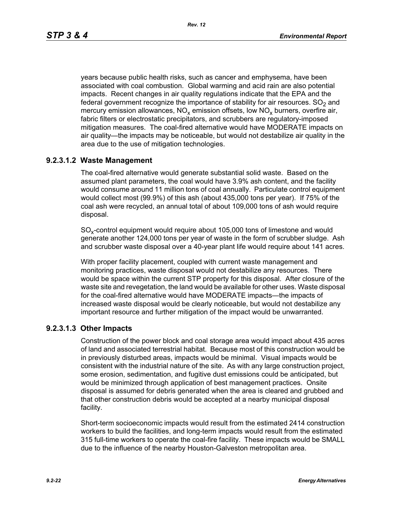*Rev. 12*

years because public health risks, such as cancer and emphysema, have been associated with coal combustion. Global warming and acid rain are also potential impacts. Recent changes in air quality regulations indicate that the EPA and the federal government recognize the importance of stability for air resources.  $SO<sub>2</sub>$  and mercury emission allowances,  $NO_x$  emission offsets, low  $NO_x$  burners, overfire air, fabric filters or electrostatic precipitators, and scrubbers are regulatory-imposed mitigation measures. The coal-fired alternative would have MODERATE impacts on air quality—the impacts may be noticeable, but would not destabilize air quality in the area due to the use of mitigation technologies.

# **9.2.3.1.2 Waste Management**

The coal-fired alternative would generate substantial solid waste. Based on the assumed plant parameters, the coal would have 3.9% ash content, and the facility would consume around 11 million tons of coal annually. Particulate control equipment would collect most (99.9%) of this ash (about 435,000 tons per year). If 75% of the coal ash were recycled, an annual total of about 109,000 tons of ash would require disposal.

SO<sub>y</sub>-control equipment would require about 105,000 tons of limestone and would generate another 124,000 tons per year of waste in the form of scrubber sludge. Ash and scrubber waste disposal over a 40-year plant life would require about 141 acres.

With proper facility placement, coupled with current waste management and monitoring practices, waste disposal would not destabilize any resources. There would be space within the current STP property for this disposal. After closure of the waste site and revegetation, the land would be available for other uses. Waste disposal for the coal-fired alternative would have MODERATE impacts—the impacts of increased waste disposal would be clearly noticeable, but would not destabilize any important resource and further mitigation of the impact would be unwarranted.

## **9.2.3.1.3 Other Impacts**

Construction of the power block and coal storage area would impact about 435 acres of land and associated terrestrial habitat. Because most of this construction would be in previously disturbed areas, impacts would be minimal. Visual impacts would be consistent with the industrial nature of the site. As with any large construction project, some erosion, sedimentation, and fugitive dust emissions could be anticipated, but would be minimized through application of best management practices. Onsite disposal is assumed for debris generated when the area is cleared and grubbed and that other construction debris would be accepted at a nearby municipal disposal facility.

Short-term socioeconomic impacts would result from the estimated 2414 construction workers to build the facilities, and long-term impacts would result from the estimated 315 full-time workers to operate the coal-fire facility. These impacts would be SMALL due to the influence of the nearby Houston-Galveston metropolitan area.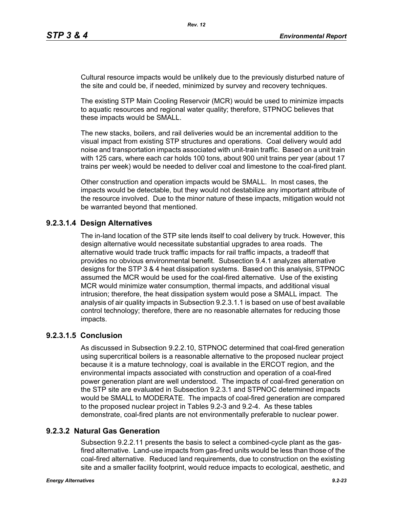Cultural resource impacts would be unlikely due to the previously disturbed nature of the site and could be, if needed, minimized by survey and recovery techniques.

The existing STP Main Cooling Reservoir (MCR) would be used to minimize impacts to aquatic resources and regional water quality; therefore, STPNOC believes that these impacts would be SMALL.

The new stacks, boilers, and rail deliveries would be an incremental addition to the visual impact from existing STP structures and operations. Coal delivery would add noise and transportation impacts associated with unit-train traffic. Based on a unit train with 125 cars, where each car holds 100 tons, about 900 unit trains per year (about 17 trains per week) would be needed to deliver coal and limestone to the coal-fired plant.

Other construction and operation impacts would be SMALL. In most cases, the impacts would be detectable, but they would not destabilize any important attribute of the resource involved. Due to the minor nature of these impacts, mitigation would not be warranted beyond that mentioned.

# **9.2.3.1.4 Design Alternatives**

The in-land location of the STP site lends itself to coal delivery by truck. However, this design alternative would necessitate substantial upgrades to area roads. The alternative would trade truck traffic impacts for rail traffic impacts, a tradeoff that provides no obvious environmental benefit. Subsection 9.4.1 analyzes alternative designs for the STP 3 & 4 heat dissipation systems. Based on this analysis, STPNOC assumed the MCR would be used for the coal-fired alternative. Use of the existing MCR would minimize water consumption, thermal impacts, and additional visual intrusion; therefore, the heat dissipation system would pose a SMALL impact. The analysis of air quality impacts in Subsection 9.2.3.1.1 is based on use of best available control technology; therefore, there are no reasonable alternates for reducing those impacts.

## **9.2.3.1.5 Conclusion**

As discussed in Subsection 9.2.2.10, STPNOC determined that coal-fired generation using supercritical boilers is a reasonable alternative to the proposed nuclear project because it is a mature technology, coal is available in the ERCOT region, and the environmental impacts associated with construction and operation of a coal-fired power generation plant are well understood. The impacts of coal-fired generation on the STP site are evaluated in Subsection 9.2.3.1 and STPNOC determined impacts would be SMALL to MODERATE. The impacts of coal-fired generation are compared to the proposed nuclear project in Tables 9.2-3 and 9.2-4. As these tables demonstrate, coal-fired plants are not environmentally preferable to nuclear power.

## **9.2.3.2 Natural Gas Generation**

Subsection 9.2.2.11 presents the basis to select a combined-cycle plant as the gasfired alternative. Land-use impacts from gas-fired units would be less than those of the coal-fired alternative. Reduced land requirements, due to construction on the existing site and a smaller facility footprint, would reduce impacts to ecological, aesthetic, and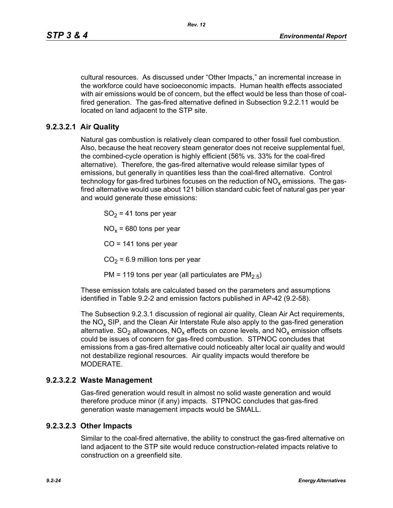cultural resources. As discussed under "Other Impacts," an incremental increase in the workforce could have socioeconomic impacts. Human health effects associated with air emissions would be of concern, but the effect would be less than those of coalfired generation. The gas-fired alternative defined in Subsection 9.2.2.11 would be located on land adjacent to the STP site.

# **9.2.3.2.1 Air Quality**

Natural gas combustion is relatively clean compared to other fossil fuel combustion. Also, because the heat recovery steam generator does not receive supplemental fuel, the combined-cycle operation is highly efficient (56% vs. 33% for the coal-fired alternative). Therefore, the gas-fired alternative would release similar types of emissions, but generally in quantities less than the coal-fired alternative. Control technology for gas-fired turbines focuses on the reduction of  $NO<sub>x</sub>$  emissions. The gasfired alternative would use about 121 billion standard cubic feet of natural gas per year and would generate these emissions:

 $SO<sub>2</sub> = 41$  tons per year

 $NO<sub>x</sub>$  = 680 tons per year

 $CO = 141$  tons per year

 $CO<sub>2</sub> = 6.9$  million tons per year

PM = 119 tons per year (all particulates are  $PM<sub>2.5</sub>$ )

These emission totals are calculated based on the parameters and assumptions identified in Table 9.2-2 and emission factors published in AP-42 (9.2-58).

The Subsection 9.2.3.1 discussion of regional air quality, Clean Air Act requirements, the  $NO<sub>x</sub>$  SIP, and the Clean Air Interstate Rule also apply to the gas-fired generation alternative.  $SO_2$  allowances,  $NO_x$  effects on ozone levels, and  $NO_x$  emission offsets could be issues of concern for gas-fired combustion. STPNOC concludes that emissions from a gas-fired alternative could noticeably alter local air quality and would not destabilize regional resources. Air quality impacts would therefore be MODERATE.

### **9.2.3.2.2 Waste Management**

Gas-fired generation would result in almost no solid waste generation and would therefore produce minor (if any) impacts. STPNOC concludes that gas-fired generation waste management impacts would be SMALL.

### **9.2.3.2.3 Other Impacts**

Similar to the coal-fired alternative, the ability to construct the gas-fired alternative on land adjacent to the STP site would reduce construction-related impacts relative to construction on a greenfield site.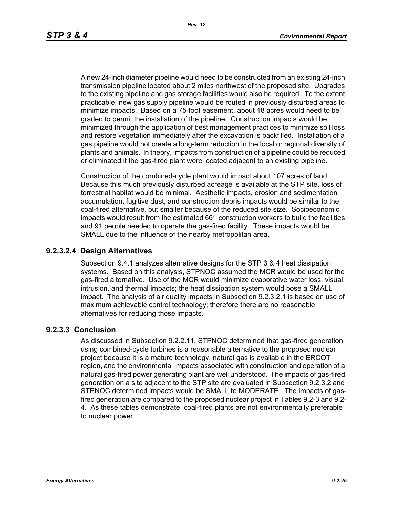A new 24-inch diameter pipeline would need to be constructed from an existing 24-inch transmission pipeline located about 2 miles northwest of the proposed site. Upgrades to the existing pipeline and gas storage facilities would also be required. To the extent practicable, new gas supply pipeline would be routed in previously disturbed areas to minimize impacts. Based on a 75-foot easement, about 18 acres would need to be graded to permit the installation of the pipeline. Construction impacts would be minimized through the application of best management practices to minimize soil loss and restore vegetation immediately after the excavation is backfilled. Installation of a gas pipeline would not create a long-term reduction in the local or regional diversity of plants and animals. In theory, impacts from construction of a pipeline could be reduced or eliminated if the gas-fired plant were located adjacent to an existing pipeline.

Construction of the combined-cycle plant would impact about 107 acres of land. Because this much previously disturbed acreage is available at the STP site, loss of terrestrial habitat would be minimal. Aesthetic impacts, erosion and sedimentation accumulation, fugitive dust, and construction debris impacts would be similar to the coal-fired alternative, but smaller because of the reduced site size. Socioeconomic impacts would result from the estimated 661 construction workers to build the facilities and 91 people needed to operate the gas-fired facility. These impacts would be SMALL due to the influence of the nearby metropolitan area.

#### **9.2.3.2.4 Design Alternatives**

Subsection 9.4.1 analyzes alternative designs for the STP 3 & 4 heat dissipation systems. Based on this analysis, STPNOC assumed the MCR would be used for the gas-fired alternative. Use of the MCR would minimize evaporative water loss, visual intrusion, and thermal impacts; the heat dissipation system would pose a SMALL impact. The analysis of air quality impacts in Subsection 9.2.3.2.1 is based on use of maximum achievable control technology; therefore there are no reasonable alternatives for reducing those impacts.

#### **9.2.3.3 Conclusion**

As discussed in Subsection 9.2.2.11, STPNOC determined that gas-fired generation using combined-cycle turbines is a reasonable alternative to the proposed nuclear project because it is a mature technology, natural gas is available in the ERCOT region, and the environmental impacts associated with construction and operation of a natural gas-fired power generating plant are well understood. The impacts of gas-fired generation on a site adjacent to the STP site are evaluated in Subsection 9.2.3.2 and STPNOC determined impacts would be SMALL to MODERATE. The impacts of gasfired generation are compared to the proposed nuclear project in Tables 9.2-3 and 9.2- 4. As these tables demonstrate, coal-fired plants are not environmentally preferable to nuclear power.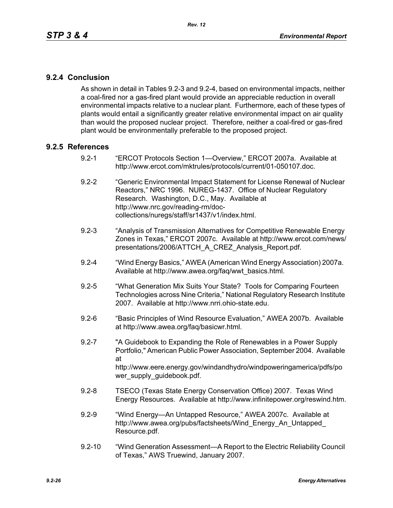## **9.2.4 Conclusion**

As shown in detail in Tables 9.2-3 and 9.2-4, based on environmental impacts, neither a coal-fired nor a gas-fired plant would provide an appreciable reduction in overall environmental impacts relative to a nuclear plant. Furthermore, each of these types of plants would entail a significantly greater relative environmental impact on air quality than would the proposed nuclear project. Therefore, neither a coal-fired or gas-fired plant would be environmentally preferable to the proposed project.

### **9.2.5 References**

- 9.2-1 "ERCOT Protocols Section 1—Overview," ERCOT 2007a. Available at http://www.ercot.com/mktrules/protocols/current/01-050107.doc.
- 9.2-2 "Generic Environmental Impact Statement for License Renewal of Nuclear Reactors," NRC 1996. NUREG-1437. Office of Nuclear Regulatory Research. Washington, D.C., May. Available at http://www.nrc.gov/reading-rm/doccollections/nuregs/staff/sr1437/v1/index.html.
- 9.2-3 "Analysis of Transmission Alternatives for Competitive Renewable Energy Zones in Texas," ERCOT 2007c. Available at http://www.ercot.com/news/ presentations/2006/ATTCH\_A\_CREZ\_Analysis\_Report.pdf.
- 9.2-4 "Wind Energy Basics," AWEA (American Wind Energy Association) 2007a. Available at http://www.awea.org/faq/wwt\_basics.html.
- 9.2-5 "What Generation Mix Suits Your State? Tools for Comparing Fourteen Technologies across Nine Criteria," National Regulatory Research Institute 2007. Available at http://www.nrri.ohio-state.edu.
- 9.2-6 "Basic Principles of Wind Resource Evaluation," AWEA 2007b. Available at http://www.awea.org/faq/basicwr.html.
- 9.2-7 "A Guidebook to Expanding the Role of Renewables in a Power Supply Portfolio," American Public Power Association, September 2004. Available at http://www.eere.energy.gov/windandhydro/windpoweringamerica/pdfs/po wer\_supply\_guidebook.pdf.
- 9.2-8 TSECO (Texas State Energy Conservation Office) 2007. Texas Wind Energy Resources. Available at http://www.infinitepower.org/reswind.htm.
- 9.2-9 "Wind Energy—An Untapped Resource," AWEA 2007c. Available at http://www.awea.org/pubs/factsheets/Wind\_Energy\_An\_Untapped\_ Resource.pdf.
- 9.2-10 "Wind Generation Assessment—A Report to the Electric Reliability Council of Texas," AWS Truewind, January 2007.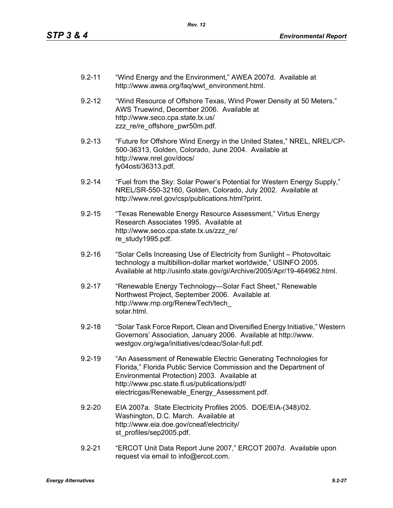- 9.2-11 "Wind Energy and the Environment," AWEA 2007d. Available at http://www.awea.org/faq/wwt\_environment.html.
- 9.2-12 "Wind Resource of Offshore Texas, Wind Power Density at 50 Meters," AWS Truewind, December 2006. Available at http://www.seco.cpa.state.tx.us/ zzz\_re/re\_offshore\_pwr50m.pdf.
- 9.2-13 "Future for Offshore Wind Energy in the United States," NREL, NREL/CP-500-36313, Golden, Colorado, June 2004. Available at http://www.nrel.gov/docs/ fy04osti/36313.pdf.
- 9.2-14 "Fuel from the Sky: Solar Power's Potential for Western Energy Supply," NREL/SR-550-32160, Golden, Colorado, July 2002. Available at http://www.nrel.gov/csp/publications.html?print.
- 9.2-15 "Texas Renewable Energy Resource Assessment," Virtus Energy Research Associates 1995. Available at http://www.seco.cpa.state.tx.us/zzz\_re/ re\_study1995.pdf.
- 9.2-16 "Solar Cells Increasing Use of Electricity from Sunlight Photovoltaic technology a multibillion-dollar market worldwide," USINFO 2005. Available at http://usinfo.state.gov/gi/Archive/2005/Apr/19-464962.html.
- 9.2-17 "Renewable Energy Technology—Solar Fact Sheet," Renewable Northwest Project, September 2006. Available at http://www.rnp.org/RenewTech/tech\_ solar.html.
- 9.2-18 "Solar Task Force Report, Clean and Diversified Energy Initiative," Western Governors' Association, January 2006. Available at http://www. westgov.org/wga/initiatives/cdeac/Solar-full.pdf.
- 9.2-19 "An Assessment of Renewable Electric Generating Technologies for Florida," Florida Public Service Commission and the Department of Environmental Protection) 2003. Available at http://www.psc.state.fl.us/publications/pdf/ electricgas/Renewable\_Energy\_Assessment.pdf.
- 9.2-20 EIA 2007a. State Electricity Profiles 2005. DOE/EIA-(348)/02. Washington, D.C. March. Available at http://www.eia.doe.gov/cneaf/electricity/ st\_profiles/sep2005.pdf.
- 9.2-21 "ERCOT Unit Data Report June 2007," ERCOT 2007d. Available upon request via email to info@ercot.com.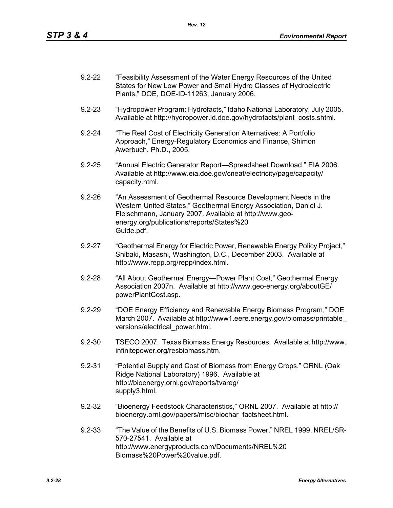| $9.2 - 22$ | "Feasibility Assessment of the Water Energy Resources of the United |
|------------|---------------------------------------------------------------------|
|            | States for New Low Power and Small Hydro Classes of Hydroelectric   |
|            | Plants," DOE, DOE-ID-11263, January 2006.                           |

- 9.2-23 "Hydropower Program: Hydrofacts," Idaho National Laboratory, July 2005. Available at http://hydropower.id.doe.gov/hydrofacts/plant\_costs.shtml.
- 9.2-24 "The Real Cost of Electricity Generation Alternatives: A Portfolio Approach," Energy-Regulatory Economics and Finance, Shimon Awerbuch, Ph.D., 2005.
- 9.2-25 "Annual Electric Generator Report—Spreadsheet Download," EIA 2006. Available at http://www.eia.doe.gov/cneaf/electricity/page/capacity/ capacity.html.
- 9.2-26 "An Assessment of Geothermal Resource Development Needs in the Western United States," Geothermal Energy Association, Daniel J. Fleischmann, January 2007. Available at http://www.geoenergy.org/publications/reports/States%20 Guide.pdf.
- 9.2-27 "Geothermal Energy for Electric Power, Renewable Energy Policy Project," Shibaki, Masashi, Washington, D.C., December 2003. Available at http://www.repp.org/repp/index.html.
- 9.2-28 "All About Geothermal Energy—Power Plant Cost," Geothermal Energy Association 2007n. Available at http://www.geo-energy.org/aboutGE/ powerPlantCost.asp.
- 9.2-29 "DOE Energy Efficiency and Renewable Energy Biomass Program," DOE March 2007. Available at http://www1.eere.energy.gov/biomass/printable\_ versions/electrical\_power.html.
- 9.2-30 TSECO 2007. Texas Biomass Energy Resources. Available at http://www. infinitepower.org/resbiomass.htm.
- 9.2-31 "Potential Supply and Cost of Biomass from Energy Crops," ORNL (Oak Ridge National Laboratory) 1996. Available at http://bioenergy.ornl.gov/reports/tvareg/ supply3.html.
- 9.2-32 "Bioenergy Feedstock Characteristics," ORNL 2007. Available at http:// bioenergy.ornl.gov/papers/misc/biochar\_factsheet.html.
- 9.2-33 "The Value of the Benefits of U.S. Biomass Power," NREL 1999, NREL/SR-570-27541. Available at http://www.energyproducts.com/Documents/NREL%20 Biomass%20Power%20value.pdf.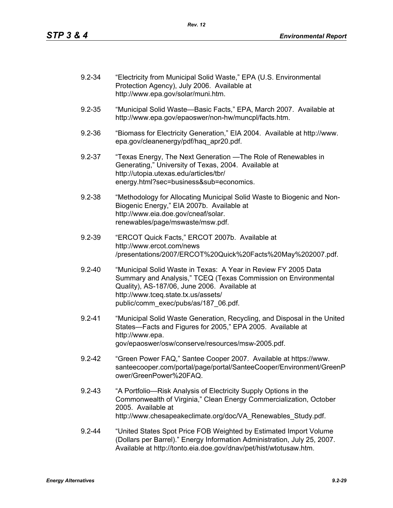| $9.2 - 34$ | "Electricity from Municipal Solid Waste," EPA (U.S. Environmental<br>Protection Agency), July 2006. Available at<br>http://www.epa.gov/solar/muni.htm.                                                                                                          |
|------------|-----------------------------------------------------------------------------------------------------------------------------------------------------------------------------------------------------------------------------------------------------------------|
| $9.2 - 35$ | "Municipal Solid Waste-Basic Facts," EPA, March 2007. Available at<br>http://www.epa.gov/epaoswer/non-hw/muncpl/facts.htm.                                                                                                                                      |
| $9.2 - 36$ | "Biomass for Electricity Generation," EIA 2004. Available at http://www.<br>epa.gov/cleanenergy/pdf/haq_apr20.pdf.                                                                                                                                              |
| $9.2 - 37$ | "Texas Energy, The Next Generation — The Role of Renewables in<br>Generating," University of Texas, 2004. Available at<br>http://utopia.utexas.edu/articles/tbr/<br>energy.html?sec=business⊂=economics.                                                        |
| $9.2 - 38$ | "Methodology for Allocating Municipal Solid Waste to Biogenic and Non-<br>Biogenic Energy," EIA 2007b. Available at<br>http://www.eia.doe.gov/cneaf/solar.<br>renewables/page/mswaste/msw.pdf.                                                                  |
| $9.2 - 39$ | "ERCOT Quick Facts," ERCOT 2007b. Available at<br>http://www.ercot.com/news<br>/presentations/2007/ERCOT%20Quick%20Facts%20May%202007.pdf.                                                                                                                      |
| $9.2 - 40$ | "Municipal Solid Waste in Texas: A Year in Review FY 2005 Data<br>Summary and Analysis," TCEQ (Texas Commission on Environmental<br>Quality), AS-187/06, June 2006. Available at<br>http://www.tceq.state.tx.us/assets/<br>public/comm_exec/pubs/as/187_06.pdf. |
| $9.2 - 41$ | "Municipal Solid Waste Generation, Recycling, and Disposal in the United<br>States-Facts and Figures for 2005," EPA 2005. Available at<br>http://www.epa.<br>gov/epaoswer/osw/conserve/resources/msw-2005.pdf.                                                  |
| $9.2 - 42$ | "Green Power FAQ," Santee Cooper 2007. Available at https://www.<br>santeecooper.com/portal/page/portal/SanteeCooper/Environment/GreenP<br>ower/GreenPower%20FAQ.                                                                                               |
| $9.2 - 43$ | "A Portfolio—Risk Analysis of Electricity Supply Options in the<br>Commonwealth of Virginia," Clean Energy Commercialization, October<br>2005. Available at<br>http://www.chesapeakeclimate.org/doc/VA_Renewables_Study.pdf.                                    |
| $9.2 - 44$ | "United States Spot Price FOB Weighted by Estimated Import Volume<br>(Dollars per Barrel)." Energy Information Administration, July 25, 2007.<br>Available at http://tonto.eia.doe.gov/dnav/pet/hist/wtotusaw.htm.                                              |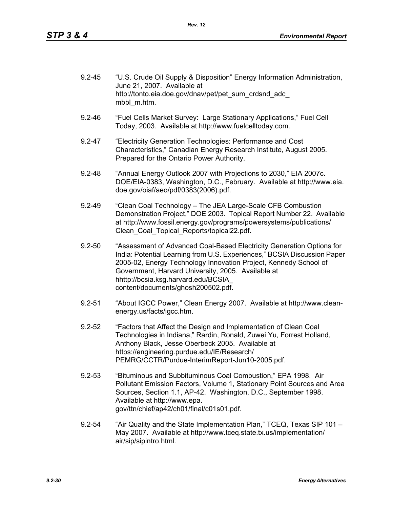| $9.2 - 45$ | "U.S. Crude Oil Supply & Disposition" Energy Information Administration,<br>June 21, 2007. Available at |
|------------|---------------------------------------------------------------------------------------------------------|
|            | http://tonto.eia.doe.gov/dnav/pet/pet sum crdsnd adc<br>mbbl m.htm.                                     |

- 9.2-46 "Fuel Cells Market Survey: Large Stationary Applications," Fuel Cell Today, 2003. Available at http://www.fuelcelltoday.com.
- 9.2-47 "Electricity Generation Technologies: Performance and Cost Characteristics," Canadian Energy Research Institute, August 2005. Prepared for the Ontario Power Authority.
- 9.2-48 "Annual Energy Outlook 2007 with Projections to 2030," EIA 2007c. DOE/EIA-0383, Washington, D.C., February. Available at http://www.eia. doe.gov/oiaf/aeo/pdf/0383(2006).pdf.
- 9.2-49 "Clean Coal Technology The JEA Large-Scale CFB Combustion Demonstration Project," DOE 2003. Topical Report Number 22. Available at http://www.fossil.energy.gov/programs/powersystems/publications/ Clean\_Coal\_Topical\_Reports/topical22.pdf.
- 9.2-50 "Assessment of Advanced Coal-Based Electricity Generation Options for India: Potential Learning from U.S. Experiences," BCSIA Discussion Paper 2005-02, Energy Technology Innovation Project, Kennedy School of Government, Harvard University, 2005. Available at hhttp://bcsia.ksg.harvard.edu/BCSIA\_ content/documents/ghosh200502.pdf.
- 9.2-51 "About IGCC Power," Clean Energy 2007. Available at http://www.cleanenergy.us/facts/igcc.htm.
- 9.2-52 "Factors that Affect the Design and Implementation of Clean Coal Technologies in Indiana," Rardin, Ronald, Zuwei Yu, Forrest Holland, Anthony Black, Jesse Oberbeck 2005. Available at https://engineering.purdue.edu/IE/Research/ PEMRG/CCTR/Purdue-InterimReport-Jun10-2005.pdf.
- 9.2-53 "Bituminous and Subbituminous Coal Combustion," EPA 1998. Air Pollutant Emission Factors, Volume 1, Stationary Point Sources and Area Sources, Section 1.1, AP-42. Washington, D.C., September 1998. Available at http://www.epa. gov/ttn/chief/ap42/ch01/final/c01s01.pdf.
- 9.2-54 "Air Quality and the State Implementation Plan," TCEQ, Texas SIP 101 May 2007. Available at http://www.tceq.state.tx.us/implementation/ air/sip/sipintro.html.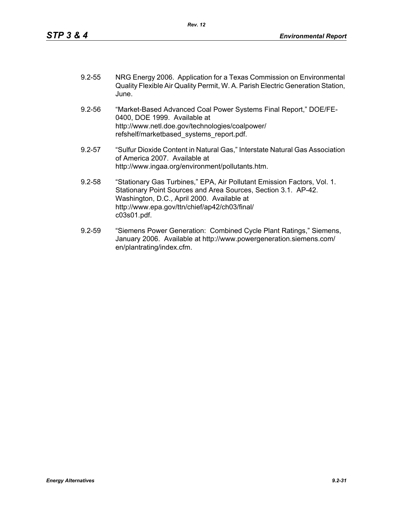- 9.2-55 NRG Energy 2006. Application for a Texas Commission on Environmental Quality Flexible Air Quality Permit, W. A. Parish Electric Generation Station, June.
- 9.2-56 "Market-Based Advanced Coal Power Systems Final Report," DOE/FE-0400, DOE 1999. Available at http://www.netl.doe.gov/technologies/coalpower/ refshelf/marketbased\_systems\_report.pdf.
- 9.2-57 "Sulfur Dioxide Content in Natural Gas," Interstate Natural Gas Association of America 2007. Available at http://www.ingaa.org/environment/pollutants.htm.
- 9.2-58 "Stationary Gas Turbines," EPA, Air Pollutant Emission Factors, Vol. 1. Stationary Point Sources and Area Sources, Section 3.1. AP-42. Washington, D.C., April 2000. Available at http://www.epa.gov/ttn/chief/ap42/ch03/final/ c03s01.pdf.
- 9.2-59 "Siemens Power Generation: Combined Cycle Plant Ratings," Siemens, January 2006. Available at http://www.powergeneration.siemens.com/ en/plantrating/index.cfm.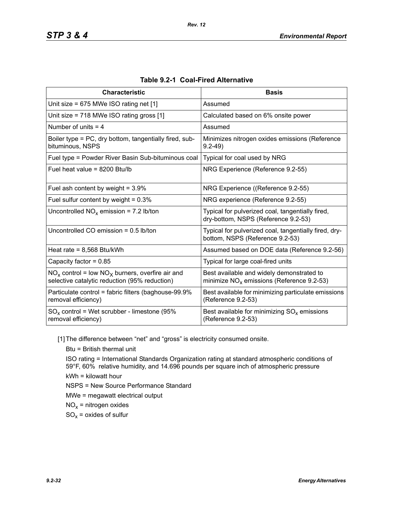| <b>Characteristic</b>                                                                                  | <b>Basis</b>                                                                              |
|--------------------------------------------------------------------------------------------------------|-------------------------------------------------------------------------------------------|
| Unit size = 675 MWe ISO rating net [1]                                                                 | Assumed                                                                                   |
| Unit size = 718 MWe ISO rating gross [1]                                                               | Calculated based on 6% onsite power                                                       |
| Number of units $=$ 4                                                                                  | Assumed                                                                                   |
| Boiler type = PC, dry bottom, tangentially fired, sub-<br>bituminous, NSPS                             | Minimizes nitrogen oxides emissions (Reference<br>$9.2 - 49$                              |
| Fuel type = Powder River Basin Sub-bituminous coal                                                     | Typical for coal used by NRG                                                              |
| Fuel heat value = $8200$ Btu/lb                                                                        | NRG Experience (Reference 9.2-55)                                                         |
| Fuel ash content by weight = $3.9\%$                                                                   | NRG Experience ((Reference 9.2-55)                                                        |
| Fuel sulfur content by weight = $0.3\%$                                                                | NRG experience (Reference 9.2-55)                                                         |
| Uncontrolled $NO_x$ emission = 7.2 lb/ton                                                              | Typical for pulverized coal, tangentially fired,<br>dry-bottom, NSPS (Reference 9.2-53)   |
| Uncontrolled CO emission $= 0.5$ lb/ton                                                                | Typical for pulverized coal, tangentially fired, dry-<br>bottom, NSPS (Reference 9.2-53)  |
| Heat rate = $8,568$ Btu/kWh                                                                            | Assumed based on DOE data (Reference 9.2-56)                                              |
| Capacity factor = $0.85$                                                                               | Typical for large coal-fired units                                                        |
| $NO_x$ control = low $NO_x$ burners, overfire air and<br>selective catalytic reduction (95% reduction) | Best available and widely demonstrated to<br>minimize $NO_x$ emissions (Reference 9.2-53) |
| Particulate control = fabric filters (baghouse-99.9%<br>removal efficiency)                            | Best available for minimizing particulate emissions<br>(Reference 9.2-53)                 |
| $SO_x$ control = Wet scrubber - limestone (95%<br>removal efficiency)                                  | Best available for minimizing $SO_{x}$ emissions<br>(Reference 9.2-53)                    |

| Table 9.2-1 Coal-Fired Alternative |
|------------------------------------|
|------------------------------------|

[1] The difference between "net" and "gross" is electricity consumed onsite.

Btu = British thermal unit

ISO rating = International Standards Organization rating at standard atmospheric conditions of 59°F, 60% relative humidity, and 14.696 pounds per square inch of atmospheric pressure kWh = kilowatt hour

NSPS = New Source Performance Standard

MWe = megawatt electrical output

 $NO<sub>x</sub>$  = nitrogen oxides

 $SO_x =$  oxides of sulfur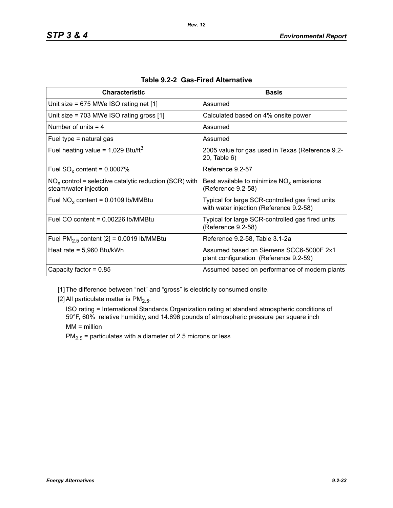| <b>Characteristic</b>                                                             | <b>Basis</b>                                                                                |
|-----------------------------------------------------------------------------------|---------------------------------------------------------------------------------------------|
| Unit size = $675$ MWe ISO rating net [1]                                          | Assumed                                                                                     |
| Unit size = $703$ MWe ISO rating gross [1]                                        | Calculated based on 4% onsite power                                                         |
| Number of units $=$ 4                                                             | Assumed                                                                                     |
| Fuel type $=$ natural gas                                                         | Assumed                                                                                     |
| Fuel heating value = $1,029$ Btu/ft <sup>3</sup>                                  | 2005 value for gas used in Texas (Reference 9.2-<br>20, Table 6)                            |
| Fuel $SO_x$ content = 0.0007%                                                     | Reference 9.2-57                                                                            |
| $NOx$ control = selective catalytic reduction (SCR) with<br>steam/water injection | Best available to minimize $NOx$ emissions<br>(Reference 9.2-58)                            |
| Fuel $NO_x$ content = 0.0109 lb/MMBtu                                             | Typical for large SCR-controlled gas fired units<br>with water injection (Reference 9.2-58) |
| Fuel CO content = $0.00226$ lb/MMBtu                                              | Typical for large SCR-controlled gas fired units<br>(Reference 9.2-58)                      |
| Fuel $PM2.5$ content [2] = 0.0019 lb/MMBtu                                        | Reference 9.2-58, Table 3.1-2a                                                              |
| Heat rate = $5,960$ Btu/kWh                                                       | Assumed based on Siemens SCC6-5000F 2x1<br>plant configuration (Reference 9.2-59)           |
| Capacity factor = $0.85$                                                          | Assumed based on performance of modern plants                                               |

|  |  | Table 9.2-2 Gas-Fired Alternative |
|--|--|-----------------------------------|
|--|--|-----------------------------------|

[1] The difference between "net" and "gross" is electricity consumed onsite.

[2] All particulate matter is  $PM<sub>2.5</sub>$ .

ISO rating = International Standards Organization rating at standard atmospheric conditions of 59°F, 60% relative humidity, and 14.696 pounds of atmospheric pressure per square inch MM = million

 $PM_{2.5}$  = particulates with a diameter of 2.5 microns or less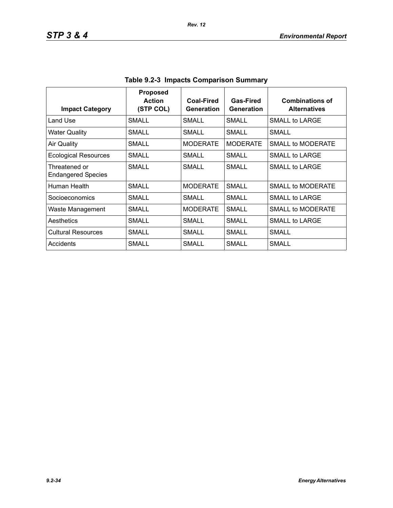| <b>Impact Category</b>                     | <b>Proposed</b><br><b>Action</b><br>(STP COL) | <b>Coal-Fired</b><br>Generation | Gas-Fired<br>Generation | <b>Combinations of</b><br><b>Alternatives</b> |
|--------------------------------------------|-----------------------------------------------|---------------------------------|-------------------------|-----------------------------------------------|
| Land Use                                   | SMALL                                         | SMALL                           | <b>SMALL</b>            | SMALL to LARGE                                |
| <b>Water Quality</b>                       | SMALL                                         | <b>SMALL</b>                    | SMALL                   | <b>SMALL</b>                                  |
| Air Quality                                | <b>SMALL</b>                                  | <b>MODERATE</b>                 | <b>MODERATE</b>         | SMALL to MODERATE                             |
| <b>Ecological Resources</b>                | SMALL                                         | SMALL                           | SMALL                   | SMALL to LARGE                                |
| Threatened or<br><b>Endangered Species</b> | SMALL                                         | SMALL                           | SMALL                   | SMALL to LARGE                                |
| Human Health                               | SMALL                                         | <b>MODERATE</b>                 | <b>SMALL</b>            | <b>SMALL to MODERATE</b>                      |
| Socioeconomics                             | SMALL                                         | SMALL                           | SMALL                   | SMALL to LARGE                                |
| Waste Management                           | SMALL                                         | <b>MODERATE</b>                 | SMALL                   | SMALL to MODERATE                             |
| Aesthetics                                 | <b>SMALL</b>                                  | SMALL                           | <b>SMALL</b>            | SMALL to LARGE                                |
| <b>Cultural Resources</b>                  | SMALL                                         | SMALL                           | <b>SMALL</b>            | SMALL                                         |
| Accidents                                  | SMALL                                         | SMALL                           | SMALL                   | SMALL                                         |

| Table 9.2-3 Impacts Comparison Summary |
|----------------------------------------|
|----------------------------------------|

*Rev. 12*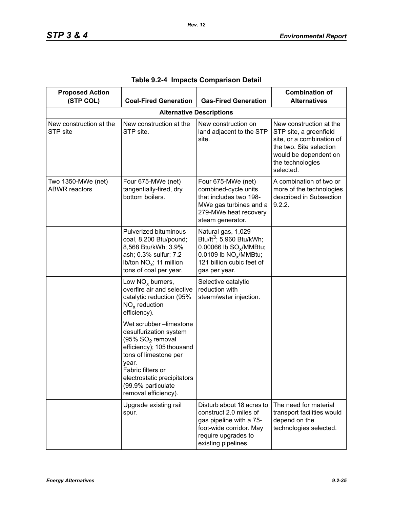| <b>Proposed Action</b><br>(STP COL)        | <b>Coal-Fired Generation</b>                                                                                                                                                                                                                      | <b>Gas-Fired Generation</b>                                                                                                                                                         | <b>Combination of</b><br><b>Alternatives</b>                                                                                                                        |
|--------------------------------------------|---------------------------------------------------------------------------------------------------------------------------------------------------------------------------------------------------------------------------------------------------|-------------------------------------------------------------------------------------------------------------------------------------------------------------------------------------|---------------------------------------------------------------------------------------------------------------------------------------------------------------------|
|                                            |                                                                                                                                                                                                                                                   | <b>Alternative Descriptions</b>                                                                                                                                                     |                                                                                                                                                                     |
| New construction at the<br>STP site        | New construction at the<br>STP site.                                                                                                                                                                                                              | New construction on<br>land adjacent to the STP<br>site.                                                                                                                            | New construction at the<br>STP site, a greenfield<br>site, or a combination of<br>the two. Site selection<br>would be dependent on<br>the technologies<br>selected. |
| Two 1350-MWe (net)<br><b>ABWR</b> reactors | Four 675-MWe (net)<br>tangentially-fired, dry<br>bottom boilers.                                                                                                                                                                                  | Four 675-MWe (net)<br>combined-cycle units<br>that includes two 198-<br>MWe gas turbines and a<br>279-MWe heat recovery<br>steam generator.                                         | A combination of two or<br>more of the technologies<br>described in Subsection<br>9.2.2.                                                                            |
|                                            | Pulverized bituminous<br>coal, 8,200 Btu/pound;<br>8,568 Btu/kWh; 3.9%<br>ash; 0.3% sulfur; 7.2<br>Ib/ton $NO_x$ ; 11 million<br>tons of coal per year.                                                                                           | Natural gas, 1,029<br>Btu/ft <sup>3</sup> ; 5,960 Btu/kWh;<br>0.00066 lb SO <sub>v</sub> /MMBtu;<br>0.0109 lb NO <sub>x</sub> /MMBtu;<br>121 billion cubic feet of<br>gas per year. |                                                                                                                                                                     |
|                                            | Low $NOx$ burners,<br>overfire air and selective<br>catalytic reduction (95%<br>$NOx$ reduction<br>efficiency).                                                                                                                                   | Selective catalytic<br>reduction with<br>steam/water injection.                                                                                                                     |                                                                                                                                                                     |
|                                            | Wet scrubber-limestone<br>desulfurization system<br>(95% SO <sub>2</sub> removal<br>efficiency); 105 thousand<br>tons of limestone per<br>year.<br>Fabric filters or<br>electrostatic precipitators<br>(99.9% particulate<br>removal efficiency). |                                                                                                                                                                                     |                                                                                                                                                                     |
|                                            | Upgrade existing rail<br>spur.                                                                                                                                                                                                                    | Disturb about 18 acres to<br>construct 2.0 miles of<br>gas pipeline with a 75-<br>foot-wide corridor. May<br>require upgrades to<br>existing pipelines.                             | The need for material<br>transport facilities would<br>depend on the<br>technologies selected.                                                                      |

|  | Table 9.2-4 Impacts Comparison Detail |  |
|--|---------------------------------------|--|
|  |                                       |  |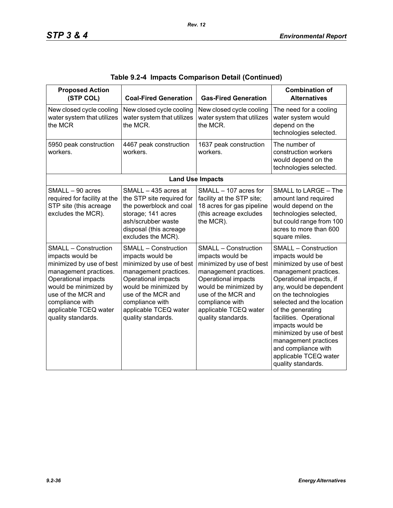| <b>Proposed Action</b><br>(STP COL)                                                                                                                                                                                                          | <b>Coal-Fired Generation</b>                                                                                                                                                                                                                 | <b>Gas-Fired Generation</b>                                                                                                                                                                                                                  | <b>Combination of</b><br><b>Alternatives</b>                                                                                                                                                                                                                                                                                                                                                                 |
|----------------------------------------------------------------------------------------------------------------------------------------------------------------------------------------------------------------------------------------------|----------------------------------------------------------------------------------------------------------------------------------------------------------------------------------------------------------------------------------------------|----------------------------------------------------------------------------------------------------------------------------------------------------------------------------------------------------------------------------------------------|--------------------------------------------------------------------------------------------------------------------------------------------------------------------------------------------------------------------------------------------------------------------------------------------------------------------------------------------------------------------------------------------------------------|
| New closed cycle cooling<br>water system that utilizes<br>the MCR                                                                                                                                                                            | New closed cycle cooling<br>water system that utilizes<br>the MCR.                                                                                                                                                                           | New closed cycle cooling<br>water system that utilizes<br>the MCR.                                                                                                                                                                           | The need for a cooling<br>water system would<br>depend on the<br>technologies selected.                                                                                                                                                                                                                                                                                                                      |
| 5950 peak construction<br>workers.                                                                                                                                                                                                           | 4467 peak construction<br>workers.                                                                                                                                                                                                           | 1637 peak construction<br>workers.                                                                                                                                                                                                           | The number of<br>construction workers<br>would depend on the<br>technologies selected.                                                                                                                                                                                                                                                                                                                       |
|                                                                                                                                                                                                                                              |                                                                                                                                                                                                                                              | <b>Land Use Impacts</b>                                                                                                                                                                                                                      |                                                                                                                                                                                                                                                                                                                                                                                                              |
| SMALL - 90 acres<br>required for facility at the<br>STP site (this acreage<br>excludes the MCR).                                                                                                                                             | SMALL - 435 acres at<br>the STP site required for<br>the powerblock and coal<br>storage; 141 acres<br>ash/scrubber waste<br>disposal (this acreage<br>excludes the MCR).                                                                     | SMALL - 107 acres for<br>facility at the STP site;<br>18 acres for gas pipeline<br>(this acreage excludes<br>the MCR).                                                                                                                       | SMALL to LARGE - The<br>amount land required<br>would depend on the<br>technologies selected,<br>but could range from 100<br>acres to more than 600<br>square miles.                                                                                                                                                                                                                                         |
| <b>SMALL - Construction</b><br>impacts would be<br>minimized by use of best<br>management practices.<br>Operational impacts<br>would be minimized by<br>use of the MCR and<br>compliance with<br>applicable TCEQ water<br>quality standards. | <b>SMALL - Construction</b><br>impacts would be<br>minimized by use of best<br>management practices.<br>Operational impacts<br>would be minimized by<br>use of the MCR and<br>compliance with<br>applicable TCEQ water<br>quality standards. | <b>SMALL - Construction</b><br>impacts would be<br>minimized by use of best<br>management practices.<br>Operational impacts<br>would be minimized by<br>use of the MCR and<br>compliance with<br>applicable TCEQ water<br>quality standards. | <b>SMALL - Construction</b><br>impacts would be<br>minimized by use of best<br>management practices.<br>Operational impacts, if<br>any, would be dependent<br>on the technologies<br>selected and the location<br>of the generating<br>facilities. Operational<br>impacts would be<br>minimized by use of best<br>management practices<br>and compliance with<br>applicable TCEQ water<br>quality standards. |

|  |  | Table 9.2-4  Impacts Comparison Detail (Continued) |  |  |
|--|--|----------------------------------------------------|--|--|
|--|--|----------------------------------------------------|--|--|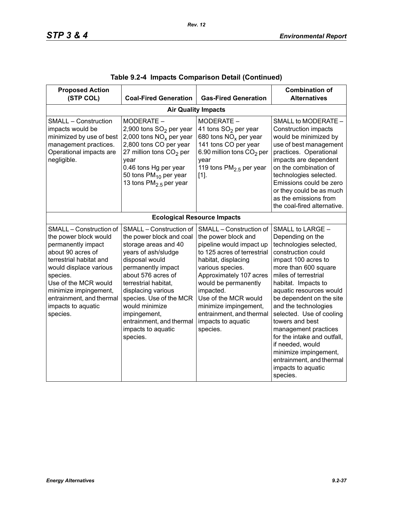| <b>Proposed Action</b><br>(STP COL)                                                                                                                                                                                                                                         | <b>Coal-Fired Generation</b>                                                                                                                                                                                                                                                                                                              | <b>Gas-Fired Generation</b>                                                                                                                                                                                                                                                                                                         | <b>Combination of</b><br><b>Alternatives</b>                                                                                                                                                                                                                                                                                                                                                                                                                                       |  |  |  |  |
|-----------------------------------------------------------------------------------------------------------------------------------------------------------------------------------------------------------------------------------------------------------------------------|-------------------------------------------------------------------------------------------------------------------------------------------------------------------------------------------------------------------------------------------------------------------------------------------------------------------------------------------|-------------------------------------------------------------------------------------------------------------------------------------------------------------------------------------------------------------------------------------------------------------------------------------------------------------------------------------|------------------------------------------------------------------------------------------------------------------------------------------------------------------------------------------------------------------------------------------------------------------------------------------------------------------------------------------------------------------------------------------------------------------------------------------------------------------------------------|--|--|--|--|
|                                                                                                                                                                                                                                                                             | <b>Air Quality Impacts</b>                                                                                                                                                                                                                                                                                                                |                                                                                                                                                                                                                                                                                                                                     |                                                                                                                                                                                                                                                                                                                                                                                                                                                                                    |  |  |  |  |
| <b>SMALL - Construction</b><br>impacts would be<br>minimized by use of best<br>management practices.<br>Operational impacts are<br>negligible.                                                                                                                              | MODERATE -<br>2,900 tons SO <sub>2</sub> per year<br>2,000 tons $NOx$ per year<br>2,800 tons CO per year<br>27 million tons $CO2$ per<br>year<br>0.46 tons Hg per year<br>50 tons $PM_{10}$ per year<br>13 tons $PM2.5$ per year                                                                                                          | MODERATE -<br>41 tons SO <sub>2</sub> per year<br>680 tons $NOx$ per year<br>141 tons CO per year<br>6.90 million tons CO <sub>2</sub> per<br>year<br>119 tons $PM2.5$ per year<br>$[1]$ .                                                                                                                                          | SMALL to MODERATE -<br><b>Construction impacts</b><br>would be minimized by<br>use of best management<br>practices. Operational<br>impacts are dependent<br>on the combination of<br>technologies selected.<br>Emissions could be zero<br>or they could be as much<br>as the emissions from<br>the coal-fired alternative.                                                                                                                                                         |  |  |  |  |
|                                                                                                                                                                                                                                                                             |                                                                                                                                                                                                                                                                                                                                           | <b>Ecological Resource Impacts</b>                                                                                                                                                                                                                                                                                                  |                                                                                                                                                                                                                                                                                                                                                                                                                                                                                    |  |  |  |  |
| SMALL - Construction of<br>the power block would<br>permanently impact<br>about 90 acres of<br>terrestrial habitat and<br>would displace various<br>species.<br>Use of the MCR would<br>minimize impingement,<br>entrainment, and thermal<br>impacts to aquatic<br>species. | SMALL - Construction of<br>the power block and coal<br>storage areas and 40<br>years of ash/sludge<br>disposal would<br>permanently impact<br>about 576 acres of<br>terrestrial habitat.<br>displacing various<br>species. Use of the MCR<br>would minimize<br>impingement,<br>entrainment, and thermal<br>impacts to aquatic<br>species. | SMALL - Construction of<br>the power block and<br>pipeline would impact up<br>to 125 acres of terrestrial<br>habitat, displacing<br>various species.<br>Approximately 107 acres<br>would be permanently<br>impacted.<br>Use of the MCR would<br>minimize impingement,<br>entrainment, and thermal<br>impacts to aquatic<br>species. | SMALL to LARGE -<br>Depending on the<br>technologies selected,<br>construction could<br>impact 100 acres to<br>more than 600 square<br>miles of terrestrial<br>habitat. Impacts to<br>aquatic resources would<br>be dependent on the site<br>and the technologies<br>selected. Use of cooling<br>towers and best<br>management practices<br>for the intake and outfall.<br>if needed, would<br>minimize impingement,<br>entrainment, and thermal<br>impacts to aquatic<br>species. |  |  |  |  |

|  |  | Table 9.2-4  Impacts Comparison Detail (Continued) |  |  |  |
|--|--|----------------------------------------------------|--|--|--|
|--|--|----------------------------------------------------|--|--|--|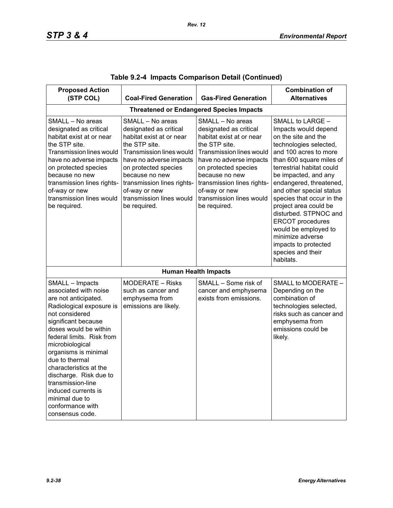| <b>Proposed Action</b>                                                                                                                                                                                                                                                                                                                                                                                            |                                                                                                                                                                                                                                                                                     |                                                                                                                                                                                                                                                                                            | <b>Combination of</b>                                                                                                                                                                                                                                                                                                                                                                                                                                                      |
|-------------------------------------------------------------------------------------------------------------------------------------------------------------------------------------------------------------------------------------------------------------------------------------------------------------------------------------------------------------------------------------------------------------------|-------------------------------------------------------------------------------------------------------------------------------------------------------------------------------------------------------------------------------------------------------------------------------------|--------------------------------------------------------------------------------------------------------------------------------------------------------------------------------------------------------------------------------------------------------------------------------------------|----------------------------------------------------------------------------------------------------------------------------------------------------------------------------------------------------------------------------------------------------------------------------------------------------------------------------------------------------------------------------------------------------------------------------------------------------------------------------|
| (STP COL)                                                                                                                                                                                                                                                                                                                                                                                                         | <b>Coal-Fired Generation</b>                                                                                                                                                                                                                                                        | <b>Gas-Fired Generation</b>                                                                                                                                                                                                                                                                | <b>Alternatives</b>                                                                                                                                                                                                                                                                                                                                                                                                                                                        |
|                                                                                                                                                                                                                                                                                                                                                                                                                   |                                                                                                                                                                                                                                                                                     | <b>Threatened or Endangered Species Impacts</b>                                                                                                                                                                                                                                            |                                                                                                                                                                                                                                                                                                                                                                                                                                                                            |
| SMALL - No areas<br>designated as critical<br>habitat exist at or near<br>the STP site.<br><b>Transmission lines would</b><br>have no adverse impacts<br>on protected species<br>because no new<br>transmission lines rights-<br>of-way or new<br>transmission lines would<br>be required.                                                                                                                        | SMALL - No areas<br>designated as critical<br>habitat exist at or near<br>the STP site.<br>Transmission lines would<br>have no adverse impacts<br>on protected species<br>because no new<br>transmission lines rights-<br>of-way or new<br>transmission lines would<br>be required. | SMALL - No areas<br>designated as critical<br>habitat exist at or near<br>the STP site.<br><b>Transmission lines would</b><br>have no adverse impacts<br>on protected species<br>because no new<br>transmission lines rights-<br>of-way or new<br>transmission lines would<br>be required. | SMALL to LARGE -<br>Impacts would depend<br>on the site and the<br>technologies selected,<br>and 100 acres to more<br>than 600 square miles of<br>terrestrial habitat could<br>be impacted, and any<br>endangered, threatened,<br>and other special status<br>species that occur in the<br>project area could be<br>disturbed. STPNOC and<br><b>ERCOT</b> procedures<br>would be employed to<br>minimize adverse<br>impacts to protected<br>species and their<br>habitats. |
|                                                                                                                                                                                                                                                                                                                                                                                                                   |                                                                                                                                                                                                                                                                                     | <b>Human Health Impacts</b>                                                                                                                                                                                                                                                                |                                                                                                                                                                                                                                                                                                                                                                                                                                                                            |
| SMALL - Impacts<br>associated with noise<br>are not anticipated.<br>Radiological exposure is<br>not considered<br>significant because<br>doses would be within<br>federal limits. Risk from<br>microbiological<br>organisms is minimal<br>due to thermal<br>characteristics at the<br>discharge. Risk due to<br>transmission-line<br>induced currents is<br>minimal due to<br>conformance with<br>consensus code. | MODERATE - Risks<br>such as cancer and<br>emphysema from<br>emissions are likely.                                                                                                                                                                                                   | SMALL - Some risk of<br>cancer and emphysema<br>exists from emissions.                                                                                                                                                                                                                     | SMALL to MODERATE -<br>Depending on the<br>combination of<br>technologies selected,<br>risks such as cancer and<br>emphysema from<br>emissions could be<br>likely.                                                                                                                                                                                                                                                                                                         |

|  |  | Table 9.2-4  Impacts Comparison Detail (Continued) |  |  |
|--|--|----------------------------------------------------|--|--|
|--|--|----------------------------------------------------|--|--|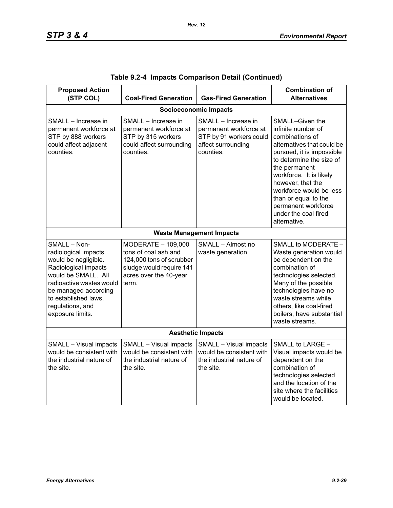| <b>Proposed Action</b><br>(STP COL)                                                                                                                                                                                             | <b>Coal-Fired Generation</b>                                                                                                          | <b>Gas-Fired Generation</b>                                                                                 | <b>Combination of</b><br><b>Alternatives</b>                                                                                                                                                                                                                                                                                       |  |  |  |  |
|---------------------------------------------------------------------------------------------------------------------------------------------------------------------------------------------------------------------------------|---------------------------------------------------------------------------------------------------------------------------------------|-------------------------------------------------------------------------------------------------------------|------------------------------------------------------------------------------------------------------------------------------------------------------------------------------------------------------------------------------------------------------------------------------------------------------------------------------------|--|--|--|--|
|                                                                                                                                                                                                                                 | <b>Socioeconomic Impacts</b>                                                                                                          |                                                                                                             |                                                                                                                                                                                                                                                                                                                                    |  |  |  |  |
| SMALL - Increase in<br>permanent workforce at<br>STP by 888 workers<br>could affect adjacent<br>counties.                                                                                                                       | SMALL - Increase in<br>permanent workforce at<br>STP by 315 workers<br>could affect surrounding<br>counties.                          | SMALL - Increase in<br>permanent workforce at<br>STP by 91 workers could<br>affect surrounding<br>counties. | SMALL-Given the<br>infinite number of<br>combinations of<br>alternatives that could be<br>pursued, it is impossible<br>to determine the size of<br>the permanent<br>workforce. It is likely<br>however, that the<br>workforce would be less<br>than or equal to the<br>permanent workforce<br>under the coal fired<br>alternative. |  |  |  |  |
|                                                                                                                                                                                                                                 |                                                                                                                                       | <b>Waste Management Impacts</b>                                                                             |                                                                                                                                                                                                                                                                                                                                    |  |  |  |  |
| SMALL - Non-<br>radiological impacts<br>would be negligible.<br>Radiological impacts<br>would be SMALL. All<br>radioactive wastes would<br>be managed according<br>to established laws,<br>regulations, and<br>exposure limits. | MODERATE - 109,000<br>tons of coal ash and<br>124,000 tons of scrubber<br>sludge would require 141<br>acres over the 40-year<br>term. | SMALL - Almost no<br>waste generation.                                                                      | SMALL to MODERATE -<br>Waste generation would<br>be dependent on the<br>combination of<br>technologies selected.<br>Many of the possible<br>technologies have no<br>waste streams while<br>others, like coal-fired<br>boilers, have substantial<br>waste streams.                                                                  |  |  |  |  |
| <b>Aesthetic Impacts</b>                                                                                                                                                                                                        |                                                                                                                                       |                                                                                                             |                                                                                                                                                                                                                                                                                                                                    |  |  |  |  |
| SMALL - Visual impacts<br>would be consistent with<br>the industrial nature of<br>the site.                                                                                                                                     | SMALL - Visual impacts<br>would be consistent with<br>the industrial nature of<br>the site.                                           | SMALL - Visual impacts<br>would be consistent with<br>the industrial nature of<br>the site.                 | SMALL to LARGE -<br>Visual impacts would be<br>dependent on the<br>combination of<br>technologies selected<br>and the location of the<br>site where the facilities<br>would be located.                                                                                                                                            |  |  |  |  |

|  |  | Table 9.2-4 Impacts Comparison Detail (Continued) |  |  |
|--|--|---------------------------------------------------|--|--|
|--|--|---------------------------------------------------|--|--|